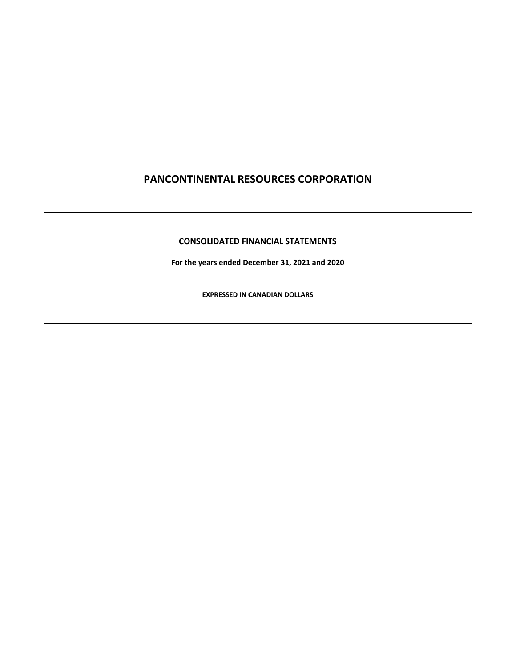# **CONSOLIDATED FINANCIAL STATEMENTS**

**For the years ended December 31, 2021 and 2020**

**EXPRESSED IN CANADIAN DOLLARS**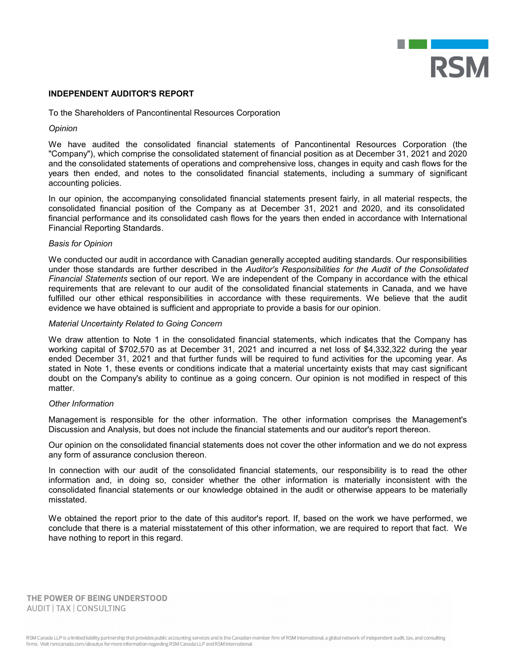

### **INDEPENDENT AUDITOR'S REPORT**

To the Shareholders of Pancontinental Resources Corporation

### *Opinion*

We have audited the consolidated financial statements of Pancontinental Resources Corporation (the "Company"), which comprise the consolidated statement of financial position as at December 31, 2021 and 2020 and the consolidated statements of operations and comprehensive loss, changes in equity and cash flows for the years then ended, and notes to the consolidated financial statements, including a summary of significant accounting policies.

In our opinion, the accompanying consolidated financial statements present fairly, in all material respects, the consolidated financial position of the Company as at December 31, 2021 and 2020, and its consolidated financial performance and its consolidated cash flows for the years then ended in accordance with International Financial Reporting Standards.

### *Basis for Opinion*

We conducted our audit in accordance with Canadian generally accepted auditing standards. Our responsibilities under those standards are further described in the *Auditor's Responsibilities for the Audit of the Consolidated Financial Statements* section of our report. We are independent of the Company in accordance with the ethical requirements that are relevant to our audit of the consolidated financial statements in Canada, and we have fulfilled our other ethical responsibilities in accordance with these requirements. We believe that the audit evidence we have obtained is sufficient and appropriate to provide a basis for our opinion.

#### *Material Uncertainty Related to Going Concern*

We draw attention to Note 1 in the consolidated financial statements, which indicates that the Company has working capital of \$702,570 as at December 31, 2021 and incurred a net loss of \$4,332,322 during the year ended December 31, 2021 and that further funds will be required to fund activities for the upcoming year. As stated in Note 1, these events or conditions indicate that a material uncertainty exists that may cast significant doubt on the Company's ability to continue as a going concern. Our opinion is not modified in respect of this matter.

# *Other Information*

Management is responsible for the other information. The other information comprises the Management's Discussion and Analysis, but does not include the financial statements and our auditor's report thereon.

Our opinion on the consolidated financial statements does not cover the other information and we do not express any form of assurance conclusion thereon.

In connection with our audit of the consolidated financial statements, our responsibility is to read the other information and, in doing so, consider whether the other information is materially inconsistent with the consolidated financial statements or our knowledge obtained in the audit or otherwise appears to be materially misstated.

We obtained the report prior to the date of this auditor's report. If, based on the work we have performed, we conclude that there is a material misstatement of this other information, we are required to report that fact. We have nothing to report in this regard.

THE POWER OF BEING UNDERSTOOD AUDIT | TAX | CONSULTING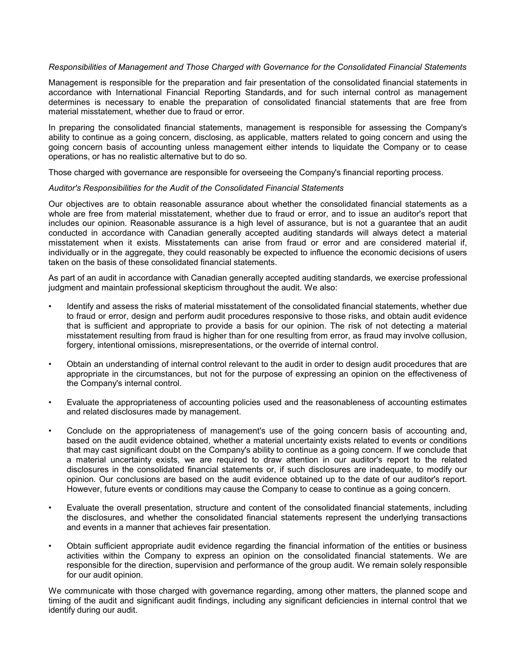# *Responsibilities of Management and Those Charged with Governance for the Consolidated Financial Statements*

Management is responsible for the preparation and fair presentation of the consolidated financial statements in accordance with International Financial Reporting Standards, and for such internal control as management determines is necessary to enable the preparation of consolidated financial statements that are free from material misstatement, whether due to fraud or error.

In preparing the consolidated financial statements, management is responsible for assessing the Company's ability to continue as a going concern, disclosing, as applicable, matters related to going concern and using the going concern basis of accounting unless management either intends to liquidate the Company or to cease operations, or has no realistic alternative but to do so.

Those charged with governance are responsible for overseeing the Company's financial reporting process.

### *Auditor's Responsibilities for the Audit of the Consolidated Financial Statements*

Our objectives are to obtain reasonable assurance about whether the consolidated financial statements as a whole are free from material misstatement, whether due to fraud or error, and to issue an auditor's report that includes our opinion. Reasonable assurance is a high level of assurance, but is not a guarantee that an audit conducted in accordance with Canadian generally accepted auditing standards will always detect a material misstatement when it exists. Misstatements can arise from fraud or error and are considered material if, individually or in the aggregate, they could reasonably be expected to influence the economic decisions of users taken on the basis of these consolidated financial statements.

As part of an audit in accordance with Canadian generally accepted auditing standards, we exercise professional judgment and maintain professional skepticism throughout the audit. We also:

- Identify and assess the risks of material misstatement of the consolidated financial statements, whether due to fraud or error, design and perform audit procedures responsive to those risks, and obtain audit evidence that is sufficient and appropriate to provide a basis for our opinion. The risk of not detecting a material misstatement resulting from fraud is higher than for one resulting from error, as fraud may involve collusion, forgery, intentional omissions, misrepresentations, or the override of internal control.
- Obtain an understanding of internal control relevant to the audit in order to design audit procedures that are appropriate in the circumstances, but not for the purpose of expressing an opinion on the effectiveness of the Company's internal control.
- Evaluate the appropriateness of accounting policies used and the reasonableness of accounting estimates and related disclosures made by management.
- Conclude on the appropriateness of management's use of the going concern basis of accounting and, based on the audit evidence obtained, whether a material uncertainty exists related to events or conditions that may cast significant doubt on the Company's ability to continue as a going concern. If we conclude that a material uncertainty exists, we are required to draw attention in our auditor's report to the related disclosures in the consolidated financial statements or, if such disclosures are inadequate, to modify our opinion. Our conclusions are based on the audit evidence obtained up to the date of our auditor's report. However, future events or conditions may cause the Company to cease to continue as a going concern.
- Evaluate the overall presentation, structure and content of the consolidated financial statements, including the disclosures, and whether the consolidated financial statements represent the underlying transactions and events in a manner that achieves fair presentation.
- Obtain sufficient appropriate audit evidence regarding the financial information of the entities or business activities within the Company to express an opinion on the consolidated financial statements. We are responsible for the direction, supervision and performance of the group audit. We remain solely responsible for our audit opinion.

We communicate with those charged with governance regarding, among other matters, the planned scope and timing of the audit and significant audit findings, including any significant deficiencies in internal control that we identify during our audit.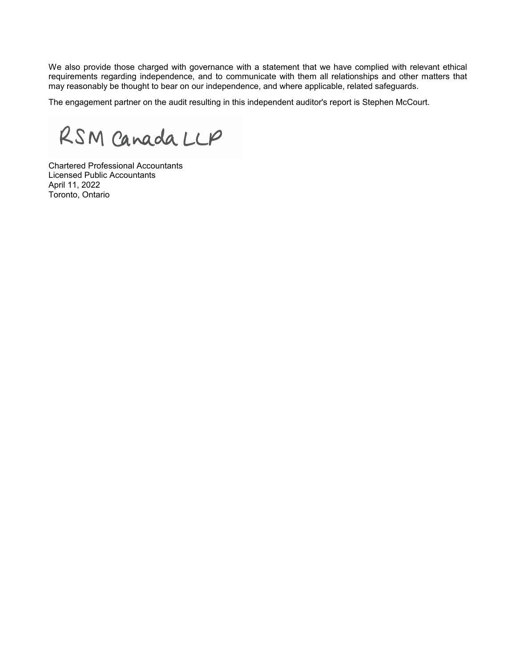We also provide those charged with governance with a statement that we have complied with relevant ethical requirements regarding independence, and to communicate with them all relationships and other matters that may reasonably be thought to bear on our independence, and where applicable, related safeguards.

The engagement partner on the audit resulting in this independent auditor's report is Stephen McCourt.

RSM Canada LLP

Chartered Professional Accountants Licensed Public Accountants April 11, 2022 Toronto, Ontario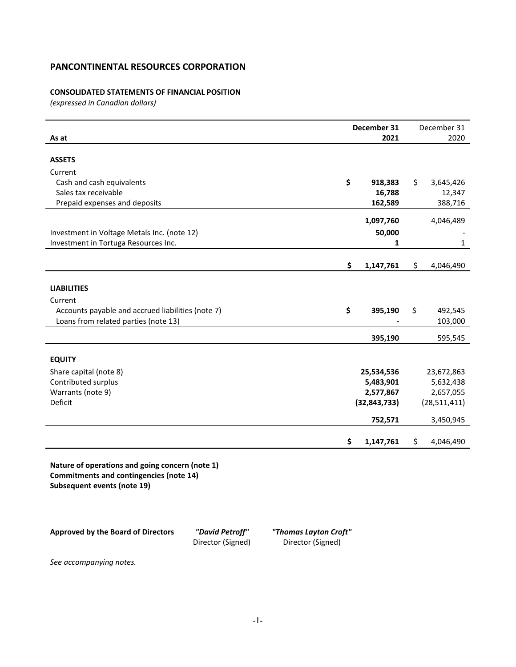# **CONSOLIDATED STATEMENTS OF FINANCIAL POSITION**

*(expressed in Canadian dollars)*

|                                                                                                                                  | December 31<br>2021 |    | December 31<br>2020 |
|----------------------------------------------------------------------------------------------------------------------------------|---------------------|----|---------------------|
| As at                                                                                                                            |                     |    |                     |
| <b>ASSETS</b>                                                                                                                    |                     |    |                     |
| Current                                                                                                                          |                     |    |                     |
| Cash and cash equivalents                                                                                                        | \$<br>918,383       | \$ | 3,645,426           |
| Sales tax receivable                                                                                                             | 16,788              |    | 12,347              |
| Prepaid expenses and deposits                                                                                                    | 162,589             |    | 388,716             |
|                                                                                                                                  | 1,097,760           |    | 4,046,489           |
| Investment in Voltage Metals Inc. (note 12)                                                                                      | 50,000              |    |                     |
| Investment in Tortuga Resources Inc.                                                                                             | 1                   |    | $\mathbf{1}$        |
|                                                                                                                                  | \$<br>1,147,761     | \$ | 4,046,490           |
|                                                                                                                                  |                     |    |                     |
| <b>LIABILITIES</b>                                                                                                               |                     |    |                     |
| Current                                                                                                                          |                     |    |                     |
| Accounts payable and accrued liabilities (note 7)                                                                                | \$<br>395,190       | \$ | 492,545             |
| Loans from related parties (note 13)                                                                                             |                     |    | 103,000             |
|                                                                                                                                  | 395,190             |    | 595,545             |
| <b>EQUITY</b>                                                                                                                    |                     |    |                     |
| Share capital (note 8)                                                                                                           | 25,534,536          |    | 23,672,863          |
| Contributed surplus                                                                                                              | 5,483,901           |    | 5,632,438           |
| Warrants (note 9)                                                                                                                | 2,577,867           |    | 2,657,055           |
| Deficit                                                                                                                          | (32, 843, 733)      |    | (28, 511, 411)      |
|                                                                                                                                  |                     |    |                     |
|                                                                                                                                  | 752,571             |    | 3,450,945           |
|                                                                                                                                  | \$<br>1,147,761     | \$ | 4,046,490           |
| Nature of operations and going concern (note 1)<br>Commitments and contingencies (note 14)<br><b>Subsequent events (note 19)</b> |                     |    |                     |

Director (Signed)

**Approved by the Board of Directors** *"David Petroff" "Thomas Layton Croft"*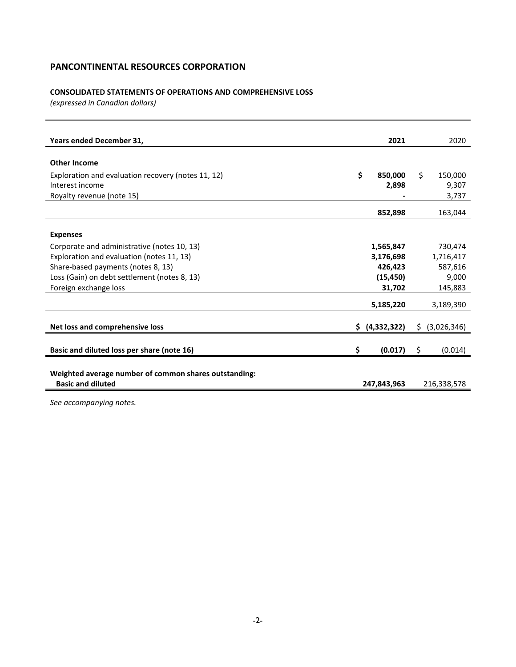# **CONSOLIDATED STATEMENTS OF OPERATIONS AND COMPREHENSIVE LOSS**

*(expressed in Canadian dollars)*

| Years ended December 31,                              |    | 2021        | 2020              |
|-------------------------------------------------------|----|-------------|-------------------|
|                                                       |    |             |                   |
| <b>Other Income</b>                                   |    |             |                   |
| Exploration and evaluation recovery (notes 11, 12)    | \$ | 850.000     | \$<br>150,000     |
| Interest income                                       |    | 2,898       | 9,307             |
| Royalty revenue (note 15)                             |    |             | 3,737             |
|                                                       |    | 852,898     | 163,044           |
|                                                       |    |             |                   |
| <b>Expenses</b>                                       |    |             |                   |
| Corporate and administrative (notes 10, 13)           |    | 1,565,847   | 730,474           |
| Exploration and evaluation (notes 11, 13)             |    | 3,176,698   | 1,716,417         |
| Share-based payments (notes 8, 13)                    |    | 426,423     | 587,616           |
| Loss (Gain) on debt settlement (notes 8, 13)          |    | (15, 450)   | 9,000             |
| Foreign exchange loss                                 |    | 31,702      | 145,883           |
|                                                       |    | 5,185,220   | 3,189,390         |
| Net loss and comprehensive loss                       | Ŝ. | (4,332,322) | \$<br>(3,026,346) |
|                                                       |    |             |                   |
| Basic and diluted loss per share (note 16)            | \$ | (0.017)     | \$<br>(0.014)     |
|                                                       |    |             |                   |
| Weighted average number of common shares outstanding: |    |             |                   |
| <b>Basic and diluted</b>                              |    | 247,843,963 | 216,338,578       |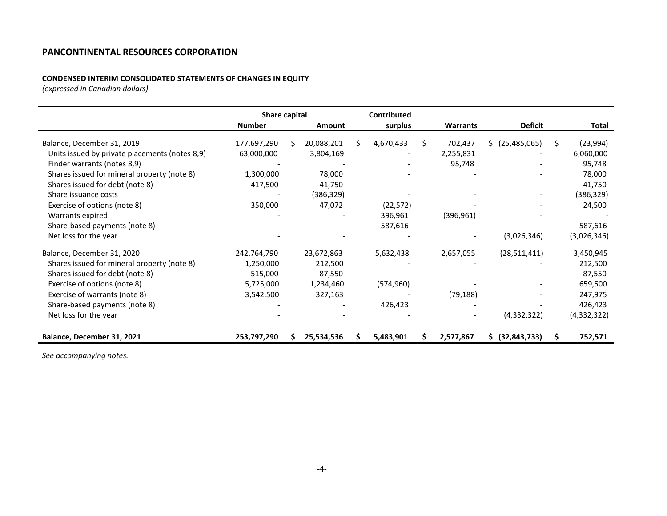# **CONDENSED INTERIM CONSOLIDATED STATEMENTS OF CHANGES IN EQUITY**

*(expressed in Canadian dollars)*

|                                                | Share capital |    |               |   | Contributed |    |                 |                 |                |
|------------------------------------------------|---------------|----|---------------|---|-------------|----|-----------------|-----------------|----------------|
|                                                | <b>Number</b> |    | <b>Amount</b> |   | surplus     |    | <b>Warrants</b> | <b>Deficit</b>  | Total          |
| Balance, December 31, 2019                     | 177,697,290   | S. | 20,088,201    | Ś | 4,670,433   | S. | 702,437         | \$ (25,485,065) | \$<br>(23,994) |
| Units issued by private placements (notes 8,9) | 63,000,000    |    | 3,804,169     |   |             |    | 2,255,831       |                 | 6,060,000      |
| Finder warrants (notes 8,9)                    |               |    |               |   |             |    | 95,748          |                 | 95,748         |
| Shares issued for mineral property (note 8)    | 1,300,000     |    | 78,000        |   |             |    |                 |                 | 78,000         |
| Shares issued for debt (note 8)                | 417,500       |    | 41,750        |   |             |    |                 |                 | 41,750         |
| Share issuance costs                           |               |    | (386, 329)    |   |             |    |                 |                 | (386, 329)     |
| Exercise of options (note 8)                   | 350,000       |    | 47,072        |   | (22, 572)   |    |                 |                 | 24,500         |
| Warrants expired                               |               |    |               |   | 396,961     |    | (396, 961)      |                 |                |
| Share-based payments (note 8)                  |               |    |               |   | 587,616     |    |                 |                 | 587,616        |
| Net loss for the year                          |               |    |               |   |             |    |                 | (3,026,346)     | (3,026,346)    |
| Balance, December 31, 2020                     | 242,764,790   |    | 23,672,863    |   | 5,632,438   |    | 2,657,055       | (28, 511, 411)  | 3,450,945      |
| Shares issued for mineral property (note 8)    | 1,250,000     |    | 212,500       |   |             |    |                 |                 | 212,500        |
| Shares issued for debt (note 8)                | 515,000       |    | 87,550        |   |             |    |                 |                 | 87,550         |
| Exercise of options (note 8)                   | 5,725,000     |    | 1,234,460     |   | (574, 960)  |    |                 |                 | 659,500        |
| Exercise of warrants (note 8)                  | 3,542,500     |    | 327,163       |   |             |    | (79, 188)       |                 | 247,975        |
| Share-based payments (note 8)                  |               |    |               |   | 426,423     |    |                 |                 | 426,423        |
| Net loss for the year                          |               |    |               |   |             |    |                 | (4,332,322)     | (4,332,322)    |
|                                                |               |    |               |   |             |    |                 |                 |                |
| Balance, December 31, 2021                     | 253,797,290   |    | 25,534,536    |   | 5,483,901   |    | 2,577,867       | \$ (32,843,733) | 752,571        |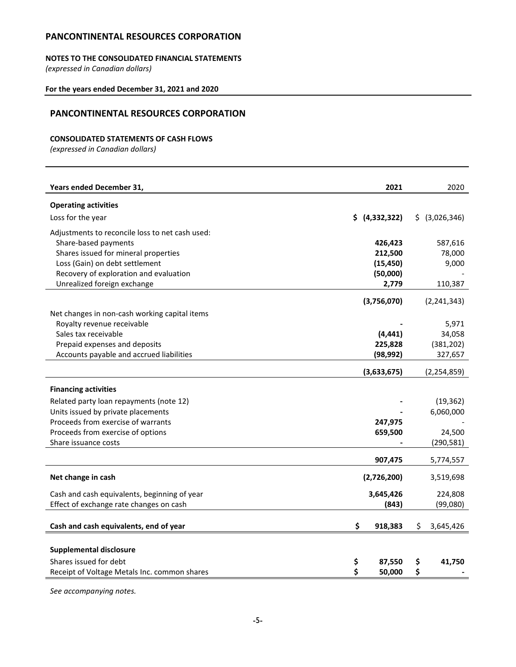# **NOTES TO THE CONSOLIDATED FINANCIAL STATEMENTS**

*(expressed in Canadian dollars)*

# **For the years ended December 31, 2021 and 2020**

# **PANCONTINENTAL RESOURCES CORPORATION**

# **CONSOLIDATED STATEMENTS OF CASH FLOWS**

*(expressed in Canadian dollars)*

| Years ended December 31,                           |    | 2021           |    | 2020                 |
|----------------------------------------------------|----|----------------|----|----------------------|
| <b>Operating activities</b>                        |    |                |    |                      |
| Loss for the year                                  |    | \$ (4,332,322) |    | \$ (3,026,346)       |
| Adjustments to reconcile loss to net cash used:    |    |                |    |                      |
| Share-based payments                               |    | 426,423        |    | 587,616              |
| Shares issued for mineral properties               |    | 212,500        |    | 78,000               |
| Loss (Gain) on debt settlement                     |    | (15, 450)      |    | 9,000                |
| Recovery of exploration and evaluation             |    | (50,000)       |    |                      |
| Unrealized foreign exchange                        |    | 2,779          |    | 110,387              |
|                                                    |    |                |    | (2, 241, 343)        |
|                                                    |    | (3,756,070)    |    |                      |
| Net changes in non-cash working capital items      |    |                |    |                      |
| Royalty revenue receivable<br>Sales tax receivable |    | (4, 441)       |    | 5,971                |
| Prepaid expenses and deposits                      |    | 225,828        |    | 34,058<br>(381, 202) |
| Accounts payable and accrued liabilities           |    | (98, 992)      |    | 327,657              |
|                                                    |    |                |    |                      |
|                                                    |    | (3,633,675)    |    | (2, 254, 859)        |
| <b>Financing activities</b>                        |    |                |    |                      |
| Related party loan repayments (note 12)            |    |                |    | (19, 362)            |
| Units issued by private placements                 |    |                |    | 6,060,000            |
| Proceeds from exercise of warrants                 |    | 247,975        |    |                      |
| Proceeds from exercise of options                  |    | 659,500        |    | 24,500               |
| Share issuance costs                               |    |                |    | (290, 581)           |
|                                                    |    | 907,475        |    | 5,774,557            |
|                                                    |    |                |    |                      |
| Net change in cash                                 |    | (2,726,200)    |    | 3,519,698            |
| Cash and cash equivalents, beginning of year       |    | 3,645,426      |    | 224,808              |
| Effect of exchange rate changes on cash            |    | (843)          |    | (99,080)             |
|                                                    |    |                |    |                      |
| Cash and cash equivalents, end of year             | Ś. | 918,383        | Ś. | 3,645,426            |
|                                                    |    |                |    |                      |
| <b>Supplemental disclosure</b>                     |    |                |    |                      |
| Shares issued for debt                             | \$ | 87,550         | \$ | 41,750               |
| Receipt of Voltage Metals Inc. common shares       | \$ | 50,000         | \$ |                      |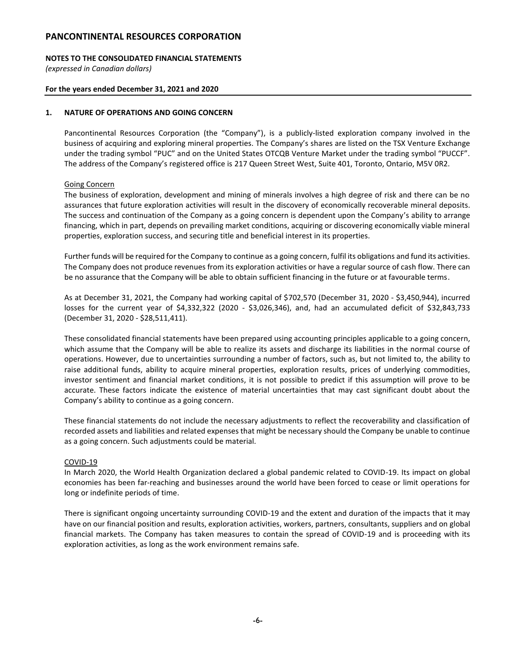# **NOTES TO THE CONSOLIDATED FINANCIAL STATEMENTS**

*(expressed in Canadian dollars)*

### **For the years ended December 31, 2021 and 2020**

### **1. NATURE OF OPERATIONS AND GOING CONCERN**

Pancontinental Resources Corporation (the "Company"), is a publicly-listed exploration company involved in the business of acquiring and exploring mineral properties. The Company's shares are listed on the TSX Venture Exchange under the trading symbol "PUC" and on the United States OTCQB Venture Market under the trading symbol "PUCCF". The address of the Company's registered office is 217 Queen Street West, Suite 401, Toronto, Ontario, M5V 0R2.

### Going Concern

The business of exploration, development and mining of minerals involves a high degree of risk and there can be no assurances that future exploration activities will result in the discovery of economically recoverable mineral deposits. The success and continuation of the Company as a going concern is dependent upon the Company's ability to arrange financing, which in part, depends on prevailing market conditions, acquiring or discovering economically viable mineral properties, exploration success, and securing title and beneficial interest in its properties.

Further funds will be required for the Company to continue as a going concern, fulfil its obligations and fund its activities. The Company does not produce revenues from its exploration activities or have a regular source of cash flow. There can be no assurance that the Company will be able to obtain sufficient financing in the future or at favourable terms.

As at December 31, 2021, the Company had working capital of \$702,570 (December 31, 2020 - \$3,450,944), incurred losses for the current year of \$4,332,322 (2020 - \$3,026,346), and, had an accumulated deficit of \$32,843,733 (December 31, 2020 - \$28,511,411).

These consolidated financial statements have been prepared using accounting principles applicable to a going concern, which assume that the Company will be able to realize its assets and discharge its liabilities in the normal course of operations. However, due to uncertainties surrounding a number of factors, such as, but not limited to, the ability to raise additional funds, ability to acquire mineral properties, exploration results, prices of underlying commodities, investor sentiment and financial market conditions, it is not possible to predict if this assumption will prove to be accurate. These factors indicate the existence of material uncertainties that may cast significant doubt about the Company's ability to continue as a going concern.

These financial statements do not include the necessary adjustments to reflect the recoverability and classification of recorded assets and liabilities and related expenses that might be necessary should the Company be unable to continue as a going concern. Such adjustments could be material.

#### COVID-19

In March 2020, the World Health Organization declared a global pandemic related to COVID-19. Its impact on global economies has been far-reaching and businesses around the world have been forced to cease or limit operations for long or indefinite periods of time.

There is significant ongoing uncertainty surrounding COVID-19 and the extent and duration of the impacts that it may have on our financial position and results, exploration activities, workers, partners, consultants, suppliers and on global financial markets. The Company has taken measures to contain the spread of COVID-19 and is proceeding with its exploration activities, as long as the work environment remains safe.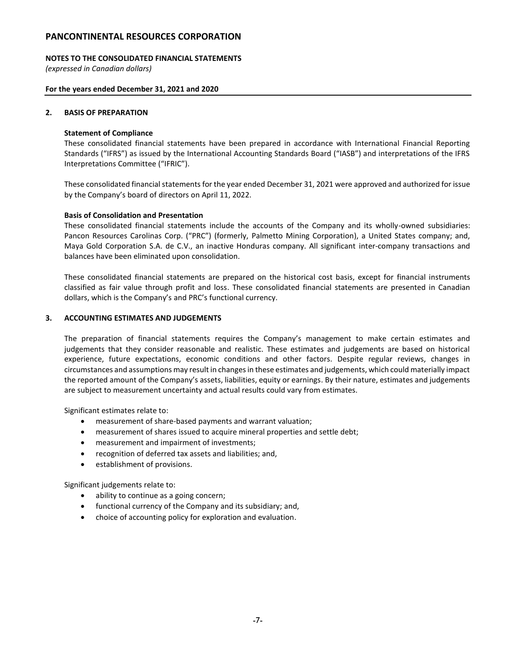### **NOTES TO THE CONSOLIDATED FINANCIAL STATEMENTS**

*(expressed in Canadian dollars)*

### **For the years ended December 31, 2021 and 2020**

### **2. BASIS OF PREPARATION**

# **Statement of Compliance**

These consolidated financial statements have been prepared in accordance with International Financial Reporting Standards ("IFRS") as issued by the International Accounting Standards Board ("IASB") and interpretations of the IFRS Interpretations Committee ("IFRIC").

These consolidated financial statements for the year ended December 31, 2021 were approved and authorized for issue by the Company's board of directors on April 11, 2022.

### **Basis of Consolidation and Presentation**

These consolidated financial statements include the accounts of the Company and its wholly-owned subsidiaries: Pancon Resources Carolinas Corp. ("PRC") (formerly, Palmetto Mining Corporation), a United States company; and, Maya Gold Corporation S.A. de C.V., an inactive Honduras company. All significant inter-company transactions and balances have been eliminated upon consolidation.

These consolidated financial statements are prepared on the historical cost basis, except for financial instruments classified as fair value through profit and loss. These consolidated financial statements are presented in Canadian dollars, which is the Company's and PRC's functional currency.

### **3. ACCOUNTING ESTIMATES AND JUDGEMENTS**

The preparation of financial statements requires the Company's management to make certain estimates and judgements that they consider reasonable and realistic. These estimates and judgements are based on historical experience, future expectations, economic conditions and other factors. Despite regular reviews, changes in circumstances and assumptions may result in changes in these estimates and judgements, which could materially impact the reported amount of the Company's assets, liabilities, equity or earnings. By their nature, estimates and judgements are subject to measurement uncertainty and actual results could vary from estimates.

Significant estimates relate to:

- measurement of share-based payments and warrant valuation;
- measurement of shares issued to acquire mineral properties and settle debt;
- measurement and impairment of investments;
- recognition of deferred tax assets and liabilities; and,
- establishment of provisions.

Significant judgements relate to:

- ability to continue as a going concern;
- functional currency of the Company and its subsidiary; and,
- choice of accounting policy for exploration and evaluation.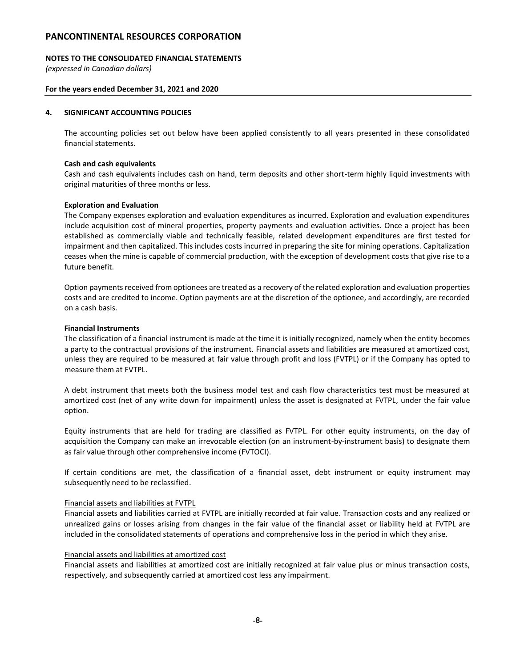### **NOTES TO THE CONSOLIDATED FINANCIAL STATEMENTS**

*(expressed in Canadian dollars)*

### **For the years ended December 31, 2021 and 2020**

### **4. SIGNIFICANT ACCOUNTING POLICIES**

The accounting policies set out below have been applied consistently to all years presented in these consolidated financial statements.

### **Cash and cash equivalents**

Cash and cash equivalents includes cash on hand, term deposits and other short-term highly liquid investments with original maturities of three months or less.

### **Exploration and Evaluation**

The Company expenses exploration and evaluation expenditures as incurred. Exploration and evaluation expenditures include acquisition cost of mineral properties, property payments and evaluation activities. Once a project has been established as commercially viable and technically feasible, related development expenditures are first tested for impairment and then capitalized. This includes costs incurred in preparing the site for mining operations. Capitalization ceases when the mine is capable of commercial production, with the exception of development costs that give rise to a future benefit.

Option payments received from optionees are treated as a recovery of the related exploration and evaluation properties costs and are credited to income. Option payments are at the discretion of the optionee, and accordingly, are recorded on a cash basis.

### **Financial Instruments**

The classification of a financial instrument is made at the time it is initially recognized, namely when the entity becomes a party to the contractual provisions of the instrument. Financial assets and liabilities are measured at amortized cost, unless they are required to be measured at fair value through profit and loss (FVTPL) or if the Company has opted to measure them at FVTPL.

A debt instrument that meets both the business model test and cash flow characteristics test must be measured at amortized cost (net of any write down for impairment) unless the asset is designated at FVTPL, under the fair value option.

Equity instruments that are held for trading are classified as FVTPL. For other equity instruments, on the day of acquisition the Company can make an irrevocable election (on an instrument-by-instrument basis) to designate them as fair value through other comprehensive income (FVTOCI).

If certain conditions are met, the classification of a financial asset, debt instrument or equity instrument may subsequently need to be reclassified.

#### Financial assets and liabilities at FVTPL

Financial assets and liabilities carried at FVTPL are initially recorded at fair value. Transaction costs and any realized or unrealized gains or losses arising from changes in the fair value of the financial asset or liability held at FVTPL are included in the consolidated statements of operations and comprehensive loss in the period in which they arise.

#### Financial assets and liabilities at amortized cost

Financial assets and liabilities at amortized cost are initially recognized at fair value plus or minus transaction costs, respectively, and subsequently carried at amortized cost less any impairment.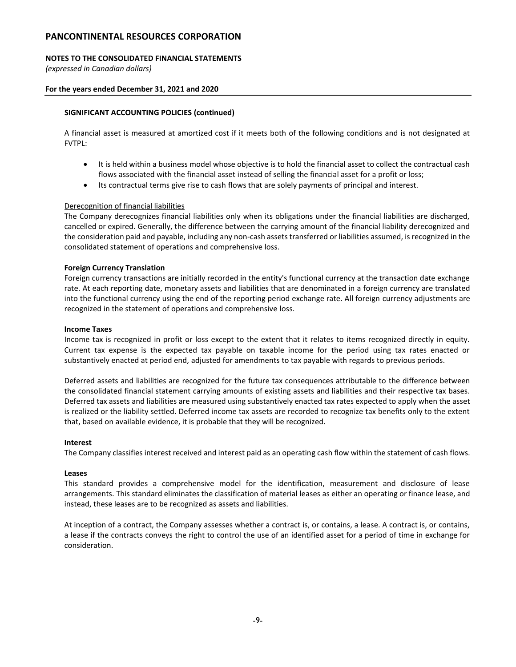# **NOTES TO THE CONSOLIDATED FINANCIAL STATEMENTS**

*(expressed in Canadian dollars)*

### **For the years ended December 31, 2021 and 2020**

# **SIGNIFICANT ACCOUNTING POLICIES (continued)**

A financial asset is measured at amortized cost if it meets both of the following conditions and is not designated at FVTPL:

- It is held within a business model whose objective is to hold the financial asset to collect the contractual cash flows associated with the financial asset instead of selling the financial asset for a profit or loss;
- Its contractual terms give rise to cash flows that are solely payments of principal and interest.

### Derecognition of financial liabilities

The Company derecognizes financial liabilities only when its obligations under the financial liabilities are discharged, cancelled or expired. Generally, the difference between the carrying amount of the financial liability derecognized and the consideration paid and payable, including any non-cash assets transferred or liabilities assumed, is recognized in the consolidated statement of operations and comprehensive loss.

#### **Foreign Currency Translation**

Foreign currency transactions are initially recorded in the entity's functional currency at the transaction date exchange rate. At each reporting date, monetary assets and liabilities that are denominated in a foreign currency are translated into the functional currency using the end of the reporting period exchange rate. All foreign currency adjustments are recognized in the statement of operations and comprehensive loss.

#### **Income Taxes**

Income tax is recognized in profit or loss except to the extent that it relates to items recognized directly in equity. Current tax expense is the expected tax payable on taxable income for the period using tax rates enacted or substantively enacted at period end, adjusted for amendments to tax payable with regards to previous periods.

Deferred assets and liabilities are recognized for the future tax consequences attributable to the difference between the consolidated financial statement carrying amounts of existing assets and liabilities and their respective tax bases. Deferred tax assets and liabilities are measured using substantively enacted tax rates expected to apply when the asset is realized or the liability settled. Deferred income tax assets are recorded to recognize tax benefits only to the extent that, based on available evidence, it is probable that they will be recognized.

#### **Interest**

The Company classifies interest received and interest paid as an operating cash flow within the statement of cash flows.

#### **Leases**

This standard provides a comprehensive model for the identification, measurement and disclosure of lease arrangements. This standard eliminates the classification of material leases as either an operating or finance lease, and instead, these leases are to be recognized as assets and liabilities.

At inception of a contract, the Company assesses whether a contract is, or contains, a lease. A contract is, or contains, a lease if the contracts conveys the right to control the use of an identified asset for a period of time in exchange for consideration.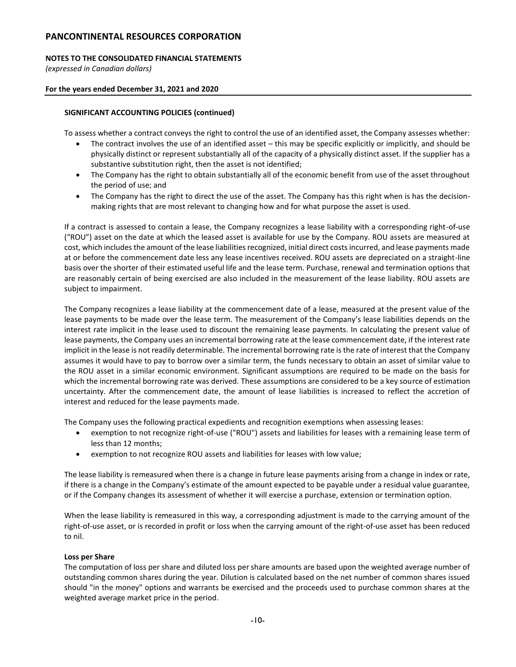# **NOTES TO THE CONSOLIDATED FINANCIAL STATEMENTS**

*(expressed in Canadian dollars)*

### **For the years ended December 31, 2021 and 2020**

### **SIGNIFICANT ACCOUNTING POLICIES (continued)**

To assess whether a contract conveys the right to control the use of an identified asset, the Company assesses whether:

- The contract involves the use of an identified asset this may be specific explicitly or implicitly, and should be physically distinct or represent substantially all of the capacity of a physically distinct asset. If the supplier has a substantive substitution right, then the asset is not identified;
- The Company has the right to obtain substantially all of the economic benefit from use of the asset throughout the period of use; and
- The Company has the right to direct the use of the asset. The Company has this right when is has the decisionmaking rights that are most relevant to changing how and for what purpose the asset is used.

If a contract is assessed to contain a lease, the Company recognizes a lease liability with a corresponding right-of-use ("ROU") asset on the date at which the leased asset is available for use by the Company. ROU assets are measured at cost, which includes the amount of the lease liabilities recognized, initial direct costs incurred, and lease payments made at or before the commencement date less any lease incentives received. ROU assets are depreciated on a straight-line basis over the shorter of their estimated useful life and the lease term. Purchase, renewal and termination options that are reasonably certain of being exercised are also included in the measurement of the lease liability. ROU assets are subject to impairment.

The Company recognizes a lease liability at the commencement date of a lease, measured at the present value of the lease payments to be made over the lease term. The measurement of the Company's lease liabilities depends on the interest rate implicit in the lease used to discount the remaining lease payments. In calculating the present value of lease payments, the Company uses an incremental borrowing rate at the lease commencement date, if the interest rate implicit in the lease is not readily determinable. The incremental borrowing rate is the rate of interest that the Company assumes it would have to pay to borrow over a similar term, the funds necessary to obtain an asset of similar value to the ROU asset in a similar economic environment. Significant assumptions are required to be made on the basis for which the incremental borrowing rate was derived. These assumptions are considered to be a key source of estimation uncertainty. After the commencement date, the amount of lease liabilities is increased to reflect the accretion of interest and reduced for the lease payments made.

The Company uses the following practical expedients and recognition exemptions when assessing leases:

- exemption to not recognize right-of-use ("ROU") assets and liabilities for leases with a remaining lease term of less than 12 months;
- exemption to not recognize ROU assets and liabilities for leases with low value;

The lease liability is remeasured when there is a change in future lease payments arising from a change in index or rate, if there is a change in the Company's estimate of the amount expected to be payable under a residual value guarantee, or if the Company changes its assessment of whether it will exercise a purchase, extension or termination option.

When the lease liability is remeasured in this way, a corresponding adjustment is made to the carrying amount of the right-of-use asset, or is recorded in profit or loss when the carrying amount of the right-of-use asset has been reduced to nil.

#### **Loss per Share**

The computation of loss per share and diluted loss per share amounts are based upon the weighted average number of outstanding common shares during the year. Dilution is calculated based on the net number of common shares issued should "in the money" options and warrants be exercised and the proceeds used to purchase common shares at the weighted average market price in the period.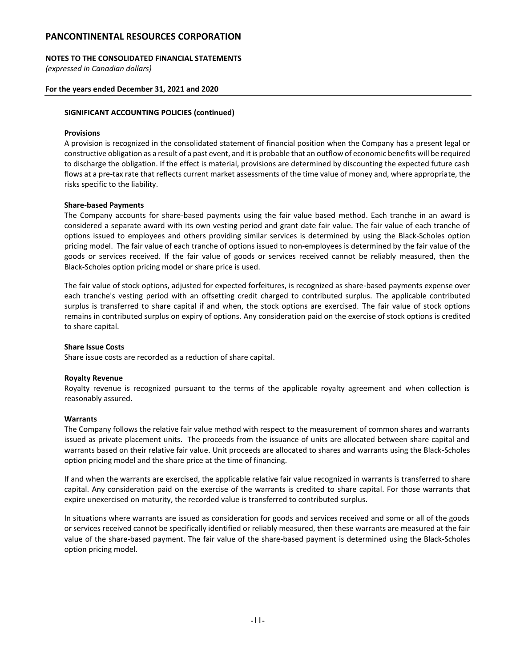### **NOTES TO THE CONSOLIDATED FINANCIAL STATEMENTS**

*(expressed in Canadian dollars)*

### **For the years ended December 31, 2021 and 2020**

### **SIGNIFICANT ACCOUNTING POLICIES (continued)**

#### **Provisions**

A provision is recognized in the consolidated statement of financial position when the Company has a present legal or constructive obligation as a result of a past event, and it is probable that an outflow of economic benefits will be required to discharge the obligation. If the effect is material, provisions are determined by discounting the expected future cash flows at a pre-tax rate that reflects current market assessments of the time value of money and, where appropriate, the risks specific to the liability.

### **Share-based Payments**

The Company accounts for share-based payments using the fair value based method. Each tranche in an award is considered a separate award with its own vesting period and grant date fair value. The fair value of each tranche of options issued to employees and others providing similar services is determined by using the Black-Scholes option pricing model. The fair value of each tranche of options issued to non-employees is determined by the fair value of the goods or services received. If the fair value of goods or services received cannot be reliably measured, then the Black-Scholes option pricing model or share price is used.

The fair value of stock options, adjusted for expected forfeitures, is recognized as share-based payments expense over each tranche's vesting period with an offsetting credit charged to contributed surplus. The applicable contributed surplus is transferred to share capital if and when, the stock options are exercised. The fair value of stock options remains in contributed surplus on expiry of options. Any consideration paid on the exercise of stock options is credited to share capital.

#### **Share Issue Costs**

Share issue costs are recorded as a reduction of share capital.

#### **Royalty Revenue**

Royalty revenue is recognized pursuant to the terms of the applicable royalty agreement and when collection is reasonably assured.

#### **Warrants**

The Company follows the relative fair value method with respect to the measurement of common shares and warrants issued as private placement units. The proceeds from the issuance of units are allocated between share capital and warrants based on their relative fair value. Unit proceeds are allocated to shares and warrants using the Black-Scholes option pricing model and the share price at the time of financing.

If and when the warrants are exercised, the applicable relative fair value recognized in warrants is transferred to share capital. Any consideration paid on the exercise of the warrants is credited to share capital. For those warrants that expire unexercised on maturity, the recorded value is transferred to contributed surplus.

In situations where warrants are issued as consideration for goods and services received and some or all of the goods or services received cannot be specifically identified or reliably measured, then these warrants are measured at the fair value of the share-based payment. The fair value of the share-based payment is determined using the Black-Scholes option pricing model.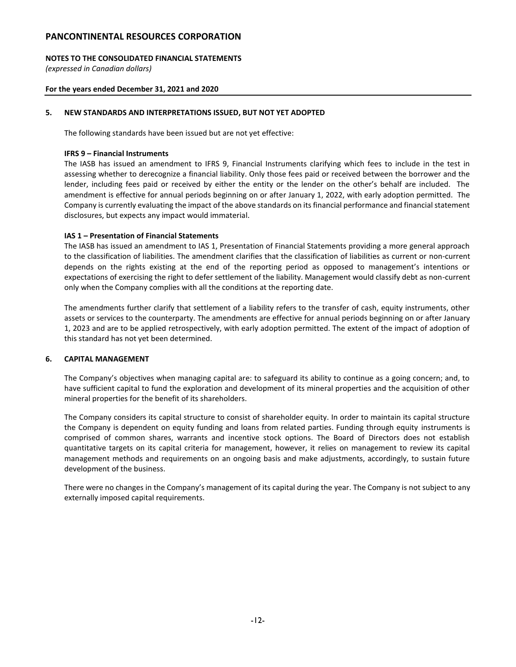# **NOTES TO THE CONSOLIDATED FINANCIAL STATEMENTS**

*(expressed in Canadian dollars)*

### **For the years ended December 31, 2021 and 2020**

### **5. NEW STANDARDS AND INTERPRETATIONS ISSUED, BUT NOT YET ADOPTED**

The following standards have been issued but are not yet effective:

### **IFRS 9 – Financial Instruments**

The IASB has issued an amendment to IFRS 9, Financial Instruments clarifying which fees to include in the test in assessing whether to derecognize a financial liability. Only those fees paid or received between the borrower and the lender, including fees paid or received by either the entity or the lender on the other's behalf are included. The amendment is effective for annual periods beginning on or after January 1, 2022, with early adoption permitted. The Company is currently evaluating the impact of the above standards on its financial performance and financial statement disclosures, but expects any impact would immaterial.

### **IAS 1 – Presentation of Financial Statements**

The IASB has issued an amendment to IAS 1, Presentation of Financial Statements providing a more general approach to the classification of liabilities. The amendment clarifies that the classification of liabilities as current or non-current depends on the rights existing at the end of the reporting period as opposed to management's intentions or expectations of exercising the right to defer settlement of the liability. Management would classify debt as non-current only when the Company complies with all the conditions at the reporting date.

The amendments further clarify that settlement of a liability refers to the transfer of cash, equity instruments, other assets or services to the counterparty. The amendments are effective for annual periods beginning on or after January 1, 2023 and are to be applied retrospectively, with early adoption permitted. The extent of the impact of adoption of this standard has not yet been determined.

# **6. CAPITAL MANAGEMENT**

The Company's objectives when managing capital are: to safeguard its ability to continue as a going concern; and, to have sufficient capital to fund the exploration and development of its mineral properties and the acquisition of other mineral properties for the benefit of its shareholders.

The Company considers its capital structure to consist of shareholder equity. In order to maintain its capital structure the Company is dependent on equity funding and loans from related parties. Funding through equity instruments is comprised of common shares, warrants and incentive stock options. The Board of Directors does not establish quantitative targets on its capital criteria for management, however, it relies on management to review its capital management methods and requirements on an ongoing basis and make adjustments, accordingly, to sustain future development of the business.

There were no changes in the Company's management of its capital during the year. The Company is not subject to any externally imposed capital requirements.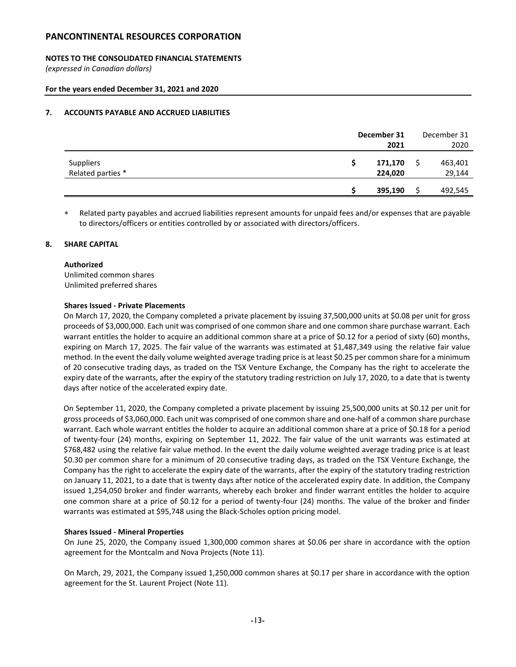# **NOTES TO THE CONSOLIDATED FINANCIAL STATEMENTS**

*(expressed in Canadian dollars)*

### **For the years ended December 31, 2021 and 2020**

### **7. ACCOUNTS PAYABLE AND ACCRUED LIABILITIES**

|                                       | December 31        | December 31       |
|---------------------------------------|--------------------|-------------------|
|                                       | 2021               | 2020              |
| <b>Suppliers</b><br>Related parties * | 171,170<br>224,020 | 463,401<br>29,144 |
|                                       | 395,190            | 492,545           |

 Related party payables and accrued liabilities represent amounts for unpaid fees and/or expenses that are payable to directors/officers or entities controlled by or associated with directors/officers.

### **8. SHARE CAPITAL**

#### **Authorized**

Unlimited common shares Unlimited preferred shares

#### **Shares Issued - Private Placements**

On March 17, 2020, the Company completed a private placement by issuing 37,500,000 units at \$0.08 per unit for gross proceeds of \$3,000,000. Each unit was comprised of one common share and one common share purchase warrant. Each warrant entitles the holder to acquire an additional common share at a price of \$0.12 for a period of sixty (60) months, expiring on March 17, 2025. The fair value of the warrants was estimated at \$1,487,349 using the relative fair value method. In the event the daily volume weighted average trading price is at least \$0.25 per common share for a minimum of 20 consecutive trading days, as traded on the TSX Venture Exchange, the Company has the right to accelerate the expiry date of the warrants, after the expiry of the statutory trading restriction on July 17, 2020, to a date that is twenty days after notice of the accelerated expiry date.

On September 11, 2020, the Company completed a private placement by issuing 25,500,000 units at \$0.12 per unit for gross proceeds of \$3,060,000. Each unit was comprised of one common share and one-half of a common share purchase warrant. Each whole warrant entitles the holder to acquire an additional common share at a price of \$0.18 for a period of twenty-four (24) months, expiring on September 11, 2022. The fair value of the unit warrants was estimated at \$768,482 using the relative fair value method. In the event the daily volume weighted average trading price is at least \$0.30 per common share for a minimum of 20 consecutive trading days, as traded on the TSX Venture Exchange, the Company has the right to accelerate the expiry date of the warrants, after the expiry of the statutory trading restriction on January 11, 2021, to a date that is twenty days after notice of the accelerated expiry date. In addition, the Company issued 1,254,050 broker and finder warrants, whereby each broker and finder warrant entitles the holder to acquire one common share at a price of \$0.12 for a period of twenty-four (24) months. The value of the broker and finder warrants was estimated at \$95,748 using the Black-Scholes option pricing model.

#### **Shares Issued - Mineral Properties**

On June 25, 2020, the Company issued 1,300,000 common shares at \$0.06 per share in accordance with the option agreement for the Montcalm and Nova Projects (Note 11).

On March, 29, 2021, the Company issued 1,250,000 common shares at \$0.17 per share in accordance with the option agreement for the St. Laurent Project (Note 11).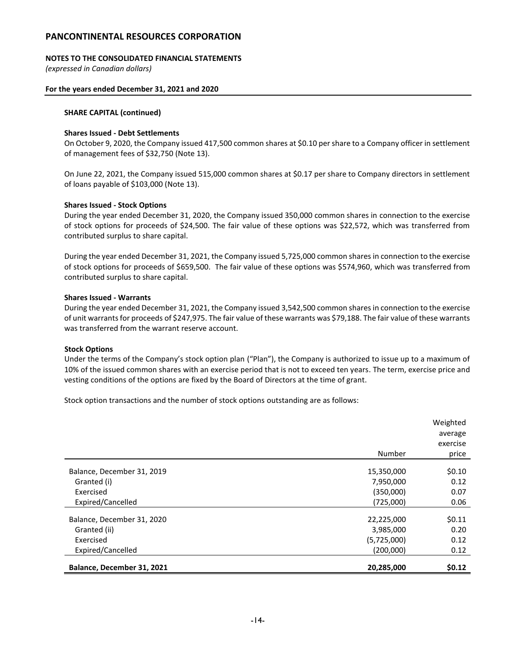### **NOTES TO THE CONSOLIDATED FINANCIAL STATEMENTS**

*(expressed in Canadian dollars)*

### **For the years ended December 31, 2021 and 2020**

#### **SHARE CAPITAL (continued)**

### **Shares Issued - Debt Settlements**

On October 9, 2020, the Company issued 417,500 common shares at \$0.10 per share to a Company officer in settlement of management fees of \$32,750 (Note 13).

On June 22, 2021, the Company issued 515,000 common shares at \$0.17 per share to Company directors in settlement of loans payable of \$103,000 (Note 13).

### **Shares Issued - Stock Options**

During the year ended December 31, 2020, the Company issued 350,000 common shares in connection to the exercise of stock options for proceeds of \$24,500. The fair value of these options was \$22,572, which was transferred from contributed surplus to share capital.

During the year ended December 31, 2021, the Company issued 5,725,000 common shares in connection to the exercise of stock options for proceeds of \$659,500. The fair value of these options was \$574,960, which was transferred from contributed surplus to share capital.

#### **Shares Issued - Warrants**

During the year ended December 31, 2021, the Company issued 3,542,500 common shares in connection to the exercise of unit warrants for proceeds of \$247,975. The fair value of these warrants was \$79,188. The fair value of these warrants was transferred from the warrant reserve account.

#### **Stock Options**

Under the terms of the Company's stock option plan ("Plan"), the Company is authorized to issue up to a maximum of 10% of the issued common shares with an exercise period that is not to exceed ten years. The term, exercise price and vesting conditions of the options are fixed by the Board of Directors at the time of grant.

Stock option transactions and the number of stock options outstanding are as follows:

|                            |             | Weighted<br>average |
|----------------------------|-------------|---------------------|
|                            |             | exercise            |
|                            | Number      | price               |
| Balance, December 31, 2019 | 15,350,000  | \$0.10              |
| Granted (i)                | 7,950,000   | 0.12                |
| Exercised                  | (350,000)   | 0.07                |
| Expired/Cancelled          | (725,000)   | 0.06                |
| Balance, December 31, 2020 | 22,225,000  | \$0.11              |
| Granted (ii)               | 3,985,000   | 0.20                |
| Exercised                  | (5,725,000) | 0.12                |
| Expired/Cancelled          | (200,000)   | 0.12                |
| Balance, December 31, 2021 | 20,285,000  | \$0.12              |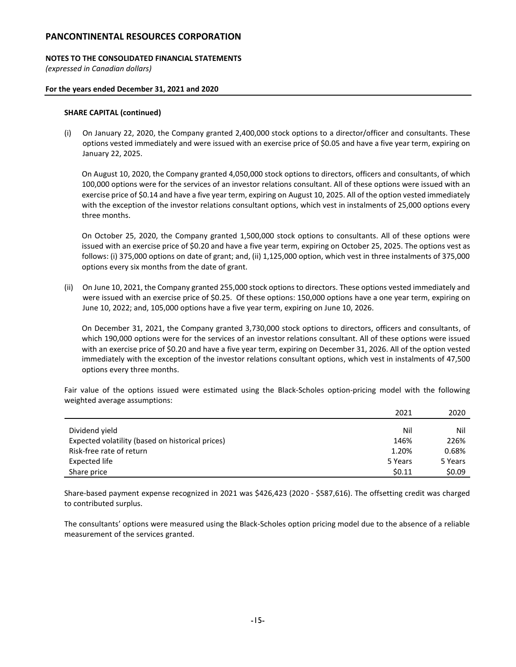### **NOTES TO THE CONSOLIDATED FINANCIAL STATEMENTS**

*(expressed in Canadian dollars)*

### **For the years ended December 31, 2021 and 2020**

#### **SHARE CAPITAL (continued)**

(i) On January 22, 2020, the Company granted 2,400,000 stock options to a director/officer and consultants. These options vested immediately and were issued with an exercise price of \$0.05 and have a five year term, expiring on January 22, 2025.

On August 10, 2020, the Company granted 4,050,000 stock options to directors, officers and consultants, of which 100,000 options were for the services of an investor relations consultant. All of these options were issued with an exercise price of \$0.14 and have a five year term, expiring on August 10, 2025. All of the option vested immediately with the exception of the investor relations consultant options, which vest in instalments of 25,000 options every three months.

On October 25, 2020, the Company granted 1,500,000 stock options to consultants. All of these options were issued with an exercise price of \$0.20 and have a five year term, expiring on October 25, 2025. The options vest as follows: (i) 375,000 options on date of grant; and, (ii) 1,125,000 option, which vest in three instalments of 375,000 options every six months from the date of grant.

(ii) On June 10, 2021, the Company granted 255,000 stock options to directors. These options vested immediately and were issued with an exercise price of \$0.25. Of these options: 150,000 options have a one year term, expiring on June 10, 2022; and, 105,000 options have a five year term, expiring on June 10, 2026.

On December 31, 2021, the Company granted 3,730,000 stock options to directors, officers and consultants, of which 190,000 options were for the services of an investor relations consultant. All of these options were issued with an exercise price of \$0.20 and have a five year term, expiring on December 31, 2026. All of the option vested immediately with the exception of the investor relations consultant options, which vest in instalments of 47,500 options every three months.

Fair value of the options issued were estimated using the Black-Scholes option-pricing model with the following weighted average assumptions:

|                                                  | 2021    | 2020    |
|--------------------------------------------------|---------|---------|
|                                                  |         |         |
| Dividend yield                                   | Nil     | Nil     |
| Expected volatility (based on historical prices) | 146%    | 226%    |
| Risk-free rate of return                         | 1.20%   | 0.68%   |
| Expected life                                    | 5 Years | 5 Years |
| Share price                                      | \$0.11  | \$0.09  |

Share-based payment expense recognized in 2021 was \$426,423 (2020 - \$587,616). The offsetting credit was charged to contributed surplus.

The consultants' options were measured using the Black-Scholes option pricing model due to the absence of a reliable measurement of the services granted.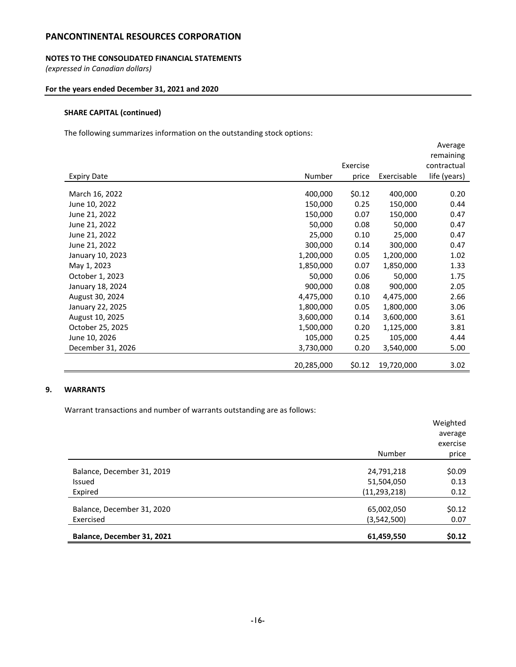# **NOTES TO THE CONSOLIDATED FINANCIAL STATEMENTS**

*(expressed in Canadian dollars)*

# **For the years ended December 31, 2021 and 2020**

# **SHARE CAPITAL (continued)**

The following summarizes information on the outstanding stock options:

|                    |            |          |             | Average      |
|--------------------|------------|----------|-------------|--------------|
|                    |            |          |             | remaining    |
|                    |            | Exercise |             | contractual  |
| <b>Expiry Date</b> | Number     | price    | Exercisable | life (years) |
| March 16, 2022     | 400,000    | \$0.12   | 400,000     | 0.20         |
| June 10, 2022      | 150,000    | 0.25     | 150,000     | 0.44         |
| June 21, 2022      | 150,000    | 0.07     | 150,000     | 0.47         |
| June 21, 2022      | 50,000     | 0.08     | 50,000      | 0.47         |
| June 21, 2022      | 25,000     | 0.10     | 25,000      | 0.47         |
| June 21, 2022      | 300,000    | 0.14     | 300,000     | 0.47         |
| January 10, 2023   | 1,200,000  | 0.05     | 1,200,000   | 1.02         |
| May 1, 2023        | 1,850,000  | 0.07     | 1,850,000   | 1.33         |
| October 1, 2023    | 50,000     | 0.06     | 50,000      | 1.75         |
| January 18, 2024   | 900,000    | 0.08     | 900,000     | 2.05         |
| August 30, 2024    | 4,475,000  | 0.10     | 4,475,000   | 2.66         |
| January 22, 2025   | 1,800,000  | 0.05     | 1,800,000   | 3.06         |
| August 10, 2025    | 3,600,000  | 0.14     | 3,600,000   | 3.61         |
| October 25, 2025   | 1,500,000  | 0.20     | 1,125,000   | 3.81         |
| June 10, 2026      | 105,000    | 0.25     | 105,000     | 4.44         |
| December 31, 2026  | 3,730,000  | 0.20     | 3,540,000   | 5.00         |
|                    | 20,285,000 | \$0.12   | 19,720,000  | 3.02         |

# **9. WARRANTS**

Warrant transactions and number of warrants outstanding are as follows:

| Balance, December 31, 2021 | 61,459,550     | \$0.12\$ |
|----------------------------|----------------|----------|
|                            |                |          |
| Exercised                  | (3,542,500)    | 0.07     |
| Balance, December 31, 2020 | 65,002,050     | \$0.12   |
|                            |                |          |
| Expired                    | (11, 293, 218) | 0.12     |
| Issued                     | 51,504,050     | 0.13     |
| Balance, December 31, 2019 | 24,791,218     | \$0.09   |
|                            |                |          |
|                            | Number         | price    |
|                            |                | exercise |
|                            |                | average  |
|                            |                | Weighted |
|                            |                |          |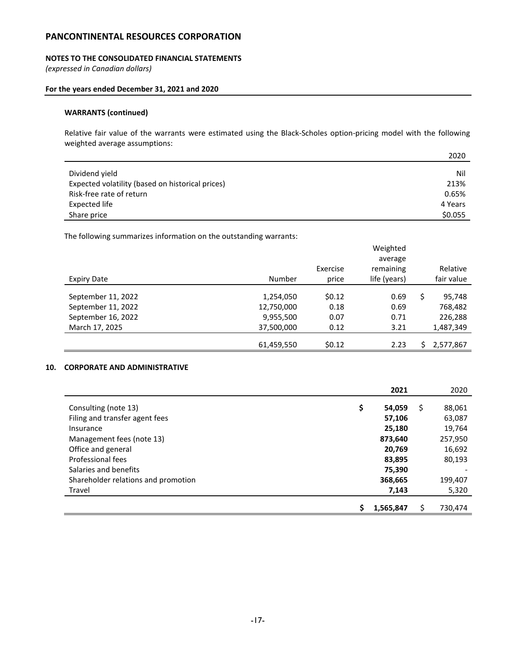### **NOTES TO THE CONSOLIDATED FINANCIAL STATEMENTS**

*(expressed in Canadian dollars)*

### **For the years ended December 31, 2021 and 2020**

# **WARRANTS (continued)**

Relative fair value of the warrants were estimated using the Black-Scholes option-pricing model with the following weighted average assumptions:

|                                                  | 2020    |
|--------------------------------------------------|---------|
| Dividend yield                                   | Nil     |
| Expected volatility (based on historical prices) | 213%    |
| Risk-free rate of return                         | 0.65%   |
| <b>Expected life</b>                             | 4 Years |
| Share price                                      | \$0.055 |

The following summarizes information on the outstanding warrants:

|                    |            |          | Weighted     |              |
|--------------------|------------|----------|--------------|--------------|
|                    |            |          | average      |              |
|                    |            | Exercise | remaining    | Relative     |
| <b>Expiry Date</b> | Number     | price    | life (years) | fair value   |
|                    |            |          |              |              |
| September 11, 2022 | 1,254,050  | \$0.12   | 0.69         | \$<br>95,748 |
| September 11, 2022 | 12,750,000 | 0.18     | 0.69         | 768,482      |
| September 16, 2022 | 9,955,500  | 0.07     | 0.71         | 226,288      |
| March 17, 2025     | 37,500,000 | 0.12     | 3.21         | 1,487,349    |
|                    |            |          |              |              |
|                    | 61,459,550 | \$0.12   | 2.23         | 2,577,867    |

### **10. CORPORATE AND ADMINISTRATIVE**

|                                     | 2021         |   | 2020    |
|-------------------------------------|--------------|---|---------|
| Consulting (note 13)                | \$<br>54,059 | S | 88,061  |
| Filing and transfer agent fees      | 57,106       |   | 63,087  |
| Insurance                           | 25,180       |   | 19,764  |
| Management fees (note 13)           | 873,640      |   | 257,950 |
| Office and general                  | 20,769       |   | 16,692  |
| Professional fees                   | 83,895       |   | 80,193  |
| Salaries and benefits               | 75,390       |   |         |
| Shareholder relations and promotion | 368,665      |   | 199,407 |
| Travel                              | 7,143        |   | 5,320   |
|                                     |              |   |         |
|                                     | 1,565,847    |   | 730,474 |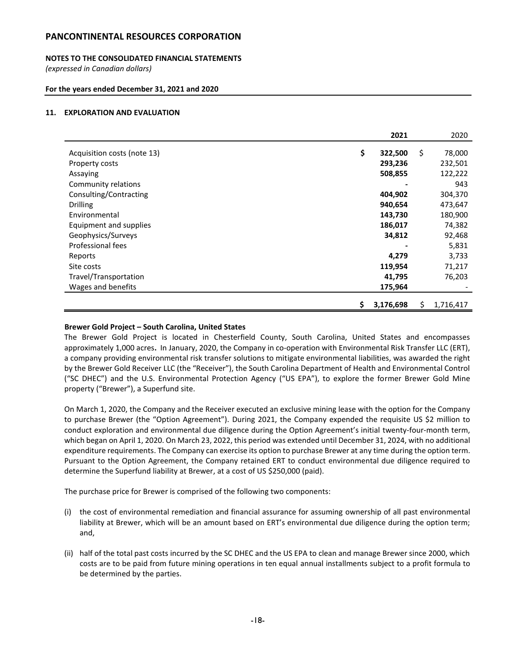# **NOTES TO THE CONSOLIDATED FINANCIAL STATEMENTS**

*(expressed in Canadian dollars)*

### **For the years ended December 31, 2021 and 2020**

### **11. EXPLORATION AND EVALUATION**

|                             | 2021            | 2020         |
|-----------------------------|-----------------|--------------|
|                             |                 |              |
| Acquisition costs (note 13) | \$<br>322,500   | \$<br>78,000 |
| Property costs              | 293,236         | 232,501      |
| Assaying                    | 508,855         | 122,222      |
| Community relations         |                 | 943          |
| Consulting/Contracting      | 404,902         | 304,370      |
| <b>Drilling</b>             | 940,654         | 473,647      |
| Environmental               | 143,730         | 180,900      |
| Equipment and supplies      | 186,017         | 74,382       |
| Geophysics/Surveys          | 34,812          | 92,468       |
| Professional fees           |                 | 5,831        |
| Reports                     | 4,279           | 3,733        |
| Site costs                  | 119,954         | 71,217       |
| Travel/Transportation       | 41,795          | 76,203       |
| Wages and benefits          | 175,964         |              |
|                             |                 |              |
|                             | \$<br>3,176,698 | 1,716,417    |

### **Brewer Gold Project – South Carolina, United States**

The Brewer Gold Project is located in Chesterfield County, South Carolina, United States and encompasses approximately 1,000 acres**.** In January, 2020, the Company in co-operation with Environmental Risk Transfer LLC (ERT), a company providing environmental risk transfer solutions to mitigate environmental liabilities, was awarded the right by the Brewer Gold Receiver LLC (the "Receiver"), the South Carolina Department of Health and Environmental Control ("SC DHEC") and the U.S. Environmental Protection Agency ("US EPA"), to explore the former Brewer Gold Mine property ("Brewer"), a Superfund site.

On March 1, 2020, the Company and the Receiver executed an exclusive mining lease with the option for the Company to purchase Brewer (the "Option Agreement"). During 2021, the Company expended the requisite US \$2 million to conduct exploration and environmental due diligence during the Option Agreement's initial twenty-four-month term, which began on April 1, 2020. On March 23, 2022, this period was extended until December 31, 2024, with no additional expenditure requirements. The Company can exercise its option to purchase Brewer at any time during the option term. Pursuant to the Option Agreement, the Company retained ERT to conduct environmental due diligence required to determine the Superfund liability at Brewer, at a cost of US \$250,000 (paid).

The purchase price for Brewer is comprised of the following two components:

- (i) the cost of environmental remediation and financial assurance for assuming ownership of all past environmental liability at Brewer, which will be an amount based on ERT's environmental due diligence during the option term; and,
- (ii) half of the total past costs incurred by the SC DHEC and the US EPA to clean and manage Brewer since 2000, which costs are to be paid from future mining operations in ten equal annual installments subject to a profit formula to be determined by the parties.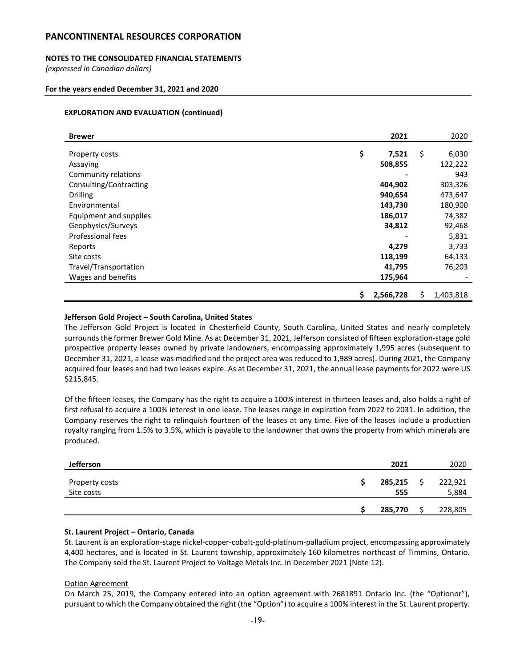# **NOTES TO THE CONSOLIDATED FINANCIAL STATEMENTS**

*(expressed in Canadian dollars)*

### **For the years ended December 31, 2021 and 2020**

### **EXPLORATION AND EVALUATION (continued)**

| <b>Brewer</b>          |    | 2021      |    | 2020      |
|------------------------|----|-----------|----|-----------|
|                        |    |           |    |           |
| Property costs         | \$ | 7,521     | \$ | 6,030     |
| Assaying               |    | 508,855   |    | 122,222   |
| Community relations    |    | -         |    | 943       |
| Consulting/Contracting |    | 404,902   |    | 303,326   |
| <b>Drilling</b>        |    | 940,654   |    | 473,647   |
| Environmental          |    | 143,730   |    | 180,900   |
| Equipment and supplies |    | 186,017   |    | 74,382    |
| Geophysics/Surveys     |    | 34,812    |    | 92,468    |
| Professional fees      |    |           |    | 5,831     |
| Reports                |    | 4,279     |    | 3,733     |
| Site costs             |    | 118,199   |    | 64,133    |
| Travel/Transportation  |    | 41,795    |    | 76,203    |
| Wages and benefits     |    | 175,964   |    |           |
|                        | Ş  | 2,566,728 | S  | 1,403,818 |
|                        |    |           |    |           |

### **Jefferson Gold Project – South Carolina, United States**

The Jefferson Gold Project is located in Chesterfield County, South Carolina, United States and nearly completely surrounds the former Brewer Gold Mine. As at December 31, 2021, Jefferson consisted of fifteen exploration-stage gold prospective property leases owned by private landowners, encompassing approximately 1,995 acres (subsequent to December 31, 2021, a lease was modified and the project area was reduced to 1,989 acres). During 2021, the Company acquired four leases and had two leases expire. As at December 31, 2021, the annual lease payments for 2022 were US \$215,845.

Of the fifteen leases, the Company has the right to acquire a 100% interest in thirteen leases and, also holds a right of first refusal to acquire a 100% interest in one lease. The leases range in expiration from 2022 to 2031. In addition, the Company reserves the right to relinquish fourteen of the leases at any time. Five of the leases include a production royalty ranging from 1.5% to 3.5%, which is payable to the landowner that owns the property from which minerals are produced.

| <b>Jefferson</b>             | 2021           | 2020             |
|------------------------------|----------------|------------------|
| Property costs<br>Site costs | 285,215<br>555 | 222,921<br>5,884 |
|                              | 285,770        | 228,805          |

#### **St. Laurent Project – Ontario, Canada**

St. Laurent is an exploration-stage nickel-copper-cobalt-gold-platinum-palladium project, encompassing approximately 4,400 hectares, and is located in St. Laurent township, approximately 160 kilometres northeast of Timmins, Ontario. The Company sold the St. Laurent Project to Voltage Metals Inc. in December 2021 (Note 12).

#### Option Agreement

On March 25, 2019, the Company entered into an option agreement with 2681891 Ontario Inc. (the "Optionor"), pursuant to which the Company obtained the right (the "Option") to acquire a 100% interest in the St. Laurent property.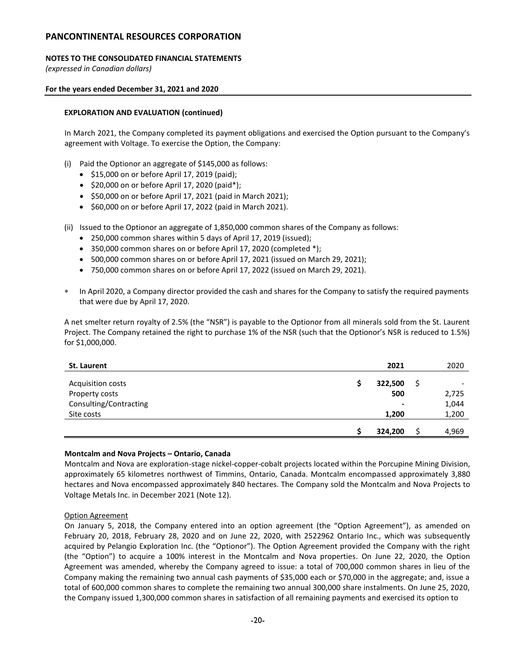# **NOTES TO THE CONSOLIDATED FINANCIAL STATEMENTS**

*(expressed in Canadian dollars)*

### **For the years ended December 31, 2021 and 2020**

### **EXPLORATION AND EVALUATION (continued)**

In March 2021, the Company completed its payment obligations and exercised the Option pursuant to the Company's agreement with Voltage. To exercise the Option, the Company:

- (i) Paid the Optionor an aggregate of \$145,000 as follows:
	- \$15,000 on or before April 17, 2019 (paid);
	- \$20,000 on or before April 17, 2020 (paid\*);
	- \$50,000 on or before April 17, 2021 (paid in March 2021);
	- \$60,000 on or before April 17, 2022 (paid in March 2021).
- (ii) Issued to the Optionor an aggregate of 1,850,000 common shares of the Company as follows:
	- 250,000 common shares within 5 days of April 17, 2019 (issued);
	- 350,000 common shares on or before April 17, 2020 (completed \*);
	- 500,000 common shares on or before April 17, 2021 (issued on March 29, 2021);
	- 750,000 common shares on or before April 17, 2022 (issued on March 29, 2021).
- In April 2020, a Company director provided the cash and shares for the Company to satisfy the required payments that were due by April 17, 2020.

A net smelter return royalty of 2.5% (the "NSR") is payable to the Optionor from all minerals sold from the St. Laurent Project. The Company retained the right to purchase 1% of the NSR (such that the Optionor's NSR is reduced to 1.5%) for \$1,000,000.

| St. Laurent            | 2021           | 2020  |
|------------------------|----------------|-------|
| Acquisition costs      | 322,500        |       |
| Property costs         | 500            | 2,725 |
| Consulting/Contracting | $\blacksquare$ | 1,044 |
| Site costs             | 1,200          | 1,200 |
|                        | 324,200        | 4,969 |

#### **Montcalm and Nova Projects – Ontario, Canada**

Montcalm and Nova are exploration-stage nickel-copper-cobalt projects located within the Porcupine Mining Division, approximately 65 kilometres northwest of Timmins, Ontario, Canada. Montcalm encompassed approximately 3,880 hectares and Nova encompassed approximately 840 hectares. The Company sold the Montcalm and Nova Projects to Voltage Metals Inc. in December 2021 (Note 12).

#### Option Agreement

On January 5, 2018, the Company entered into an option agreement (the "Option Agreement"), as amended on February 20, 2018, February 28, 2020 and on June 22, 2020, with 2522962 Ontario Inc., which was subsequently acquired by Pelangio Exploration Inc. (the "Optionor"). The Option Agreement provided the Company with the right (the "Option") to acquire a 100% interest in the Montcalm and Nova properties. On June 22, 2020, the Option Agreement was amended, whereby the Company agreed to issue: a total of 700,000 common shares in lieu of the Company making the remaining two annual cash payments of \$35,000 each or \$70,000 in the aggregate; and, issue a total of 600,000 common shares to complete the remaining two annual 300,000 share instalments. On June 25, 2020, the Company issued 1,300,000 common shares in satisfaction of all remaining payments and exercised its option to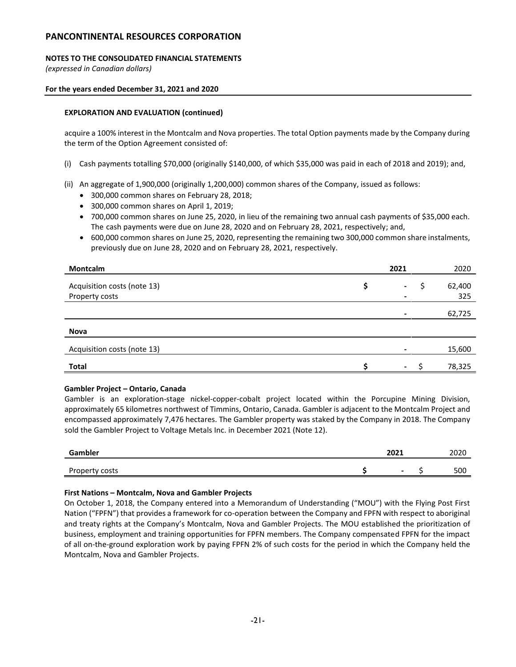# **NOTES TO THE CONSOLIDATED FINANCIAL STATEMENTS**

*(expressed in Canadian dollars)*

### **For the years ended December 31, 2021 and 2020**

# **EXPLORATION AND EVALUATION (continued)**

acquire a 100% interest in the Montcalm and Nova properties. The total Option payments made by the Company during the term of the Option Agreement consisted of:

- (i) Cash payments totalling \$70,000 (originally \$140,000, of which \$35,000 was paid in each of 2018 and 2019); and,
- (ii) An aggregate of 1,900,000 (originally 1,200,000) common shares of the Company, issued as follows:
	- 300,000 common shares on February 28, 2018;
	- 300,000 common shares on April 1, 2019;
	- 700,000 common shares on June 25, 2020, in lieu of the remaining two annual cash payments of \$35,000 each. The cash payments were due on June 28, 2020 and on February 28, 2021, respectively; and,
	- 600,000 common shares on June 25, 2020, representing the remaining two 300,000 common share instalments, previously due on June 28, 2020 and on February 28, 2021, respectively.

| Montcalm                    | 2021           |   | 2020   |
|-----------------------------|----------------|---|--------|
| Acquisition costs (note 13) | $\blacksquare$ | S | 62,400 |
| Property costs              |                |   | 325    |
|                             |                |   | 62,725 |
| <b>Nova</b>                 |                |   |        |
| Acquisition costs (note 13) |                |   | 15,600 |
| <b>Total</b>                | $\sim$         |   | 78,325 |

# **Gambler Project – Ontario, Canada**

Gambler is an exploration-stage nickel-copper-cobalt project located within the Porcupine Mining Division, approximately 65 kilometres northwest of Timmins, Ontario, Canada. Gambler is adjacent to the Montcalm Project and encompassed approximately 7,476 hectares. The Gambler property was staked by the Company in 2018. The Company sold the Gambler Project to Voltage Metals Inc. in December 2021 (Note 12).

| Gambler        | 2021                     | 2020 |
|----------------|--------------------------|------|
| Property costs | $\overline{\phantom{0}}$ | 500  |

# **First Nations – Montcalm, Nova and Gambler Projects**

On October 1, 2018, the Company entered into a Memorandum of Understanding ("MOU") with the Flying Post First Nation ("FPFN") that provides a framework for co-operation between the Company and FPFN with respect to aboriginal and treaty rights at the Company's Montcalm, Nova and Gambler Projects. The MOU established the prioritization of business, employment and training opportunities for FPFN members. The Company compensated FPFN for the impact of all on-the-ground exploration work by paying FPFN 2% of such costs for the period in which the Company held the Montcalm, Nova and Gambler Projects.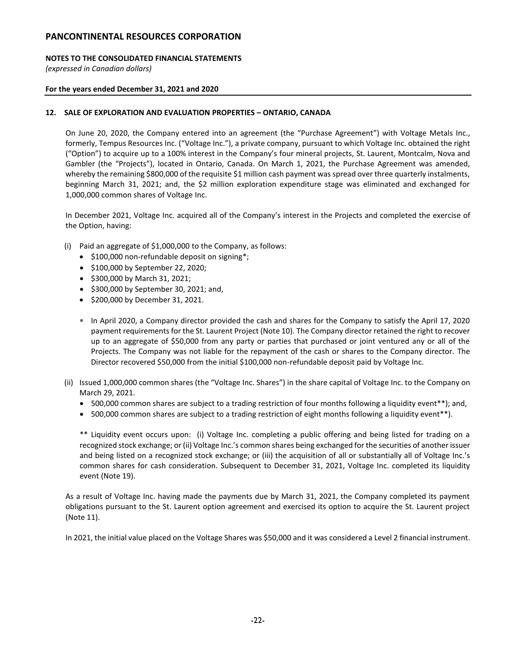# **NOTES TO THE CONSOLIDATED FINANCIAL STATEMENTS**

*(expressed in Canadian dollars)*

### **For the years ended December 31, 2021 and 2020**

# **12. SALE OF EXPLORATION AND EVALUATION PROPERTIES – ONTARIO, CANADA**

On June 20, 2020, the Company entered into an agreement (the "Purchase Agreement") with Voltage Metals Inc., formerly, Tempus Resources Inc. ("Voltage Inc."), a private company, pursuant to which Voltage Inc. obtained the right ("Option") to acquire up to a 100% interest in the Company's four mineral projects, St. Laurent, Montcalm, Nova and Gambler (the "Projects"), located in Ontario, Canada. On March 1, 2021, the Purchase Agreement was amended, whereby the remaining \$800,000 of the requisite \$1 million cash payment was spread over three quarterly instalments, beginning March 31, 2021; and, the \$2 million exploration expenditure stage was eliminated and exchanged for 1,000,000 common shares of Voltage Inc.

In December 2021, Voltage Inc. acquired all of the Company's interest in the Projects and completed the exercise of the Option, having:

- (i) Paid an aggregate of \$1,000,000 to the Company, as follows:
	- \$100,000 non-refundable deposit on signing\*;
	- \$100,000 by September 22, 2020;
	- \$300,000 by March 31, 2021;
	- \$300,000 by September 30, 2021; and,
	- \$200,000 by December 31, 2021.
	- In April 2020, a Company director provided the cash and shares for the Company to satisfy the April 17, 2020 payment requirements for the St. Laurent Project (Note 10). The Company director retained the right to recover up to an aggregate of \$50,000 from any party or parties that purchased or joint ventured any or all of the Projects. The Company was not liable for the repayment of the cash or shares to the Company director. The Director recovered \$50,000 from the initial \$100,000 non-refundable deposit paid by Voltage Inc.
- (ii) Issued 1,000,000 common shares (the "Voltage Inc. Shares") in the share capital of Voltage Inc. to the Company on March 29, 2021.
	- 500,000 common shares are subject to a trading restriction of four months following a liquidity event\*\*); and,
	- 500,000 common shares are subject to a trading restriction of eight months following a liquidity event\*\*).

\*\* Liquidity event occurs upon: (i) Voltage Inc. completing a public offering and being listed for trading on a recognized stock exchange; or (ii) Voltage Inc.'s common shares being exchanged for the securities of another issuer and being listed on a recognized stock exchange; or (iii) the acquisition of all or substantially all of Voltage Inc.'s common shares for cash consideration. Subsequent to December 31, 2021, Voltage Inc. completed its liquidity event (Note 19).

As a result of Voltage Inc. having made the payments due by March 31, 2021, the Company completed its payment obligations pursuant to the St. Laurent option agreement and exercised its option to acquire the St. Laurent project (Note 11).

In 2021, the initial value placed on the Voltage Shares was \$50,000 and it was considered a Level 2 financial instrument.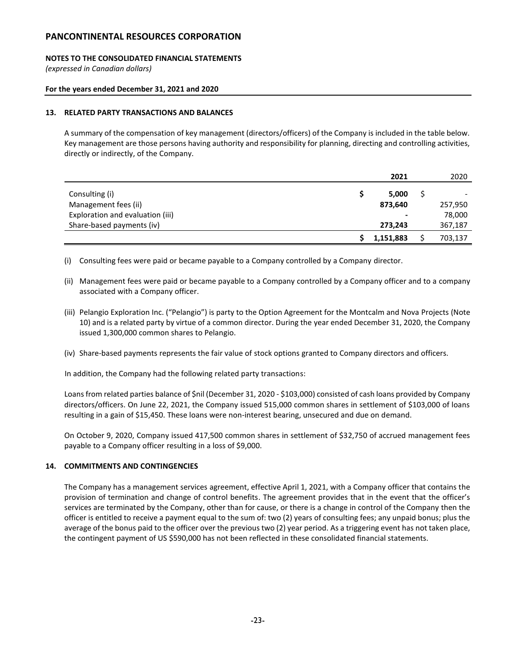# **NOTES TO THE CONSOLIDATED FINANCIAL STATEMENTS**

*(expressed in Canadian dollars)*

# **For the years ended December 31, 2021 and 2020**

### **13. RELATED PARTY TRANSACTIONS AND BALANCES**

A summary of the compensation of key management (directors/officers) of the Company is included in the table below. Key management are those persons having authority and responsibility for planning, directing and controlling activities, directly or indirectly, of the Company.

|                                  | 2021                     | 2020    |
|----------------------------------|--------------------------|---------|
| Consulting (i)                   | 5.000                    |         |
| Management fees (ii)             | 873,640                  | 257,950 |
| Exploration and evaluation (iii) | $\overline{\phantom{a}}$ | 78,000  |
| Share-based payments (iv)        | 273,243                  | 367,187 |
|                                  | 1,151,883                | 703,137 |

(i) Consulting fees were paid or became payable to a Company controlled by a Company director.

- (ii) Management fees were paid or became payable to a Company controlled by a Company officer and to a company associated with a Company officer.
- (iii) Pelangio Exploration Inc. ("Pelangio") is party to the Option Agreement for the Montcalm and Nova Projects (Note 10) and is a related party by virtue of a common director. During the year ended December 31, 2020, the Company issued 1,300,000 common shares to Pelangio.
- (iv) Share-based payments represents the fair value of stock options granted to Company directors and officers.

In addition, the Company had the following related party transactions:

Loans from related parties balance of \$nil (December 31, 2020 - \$103,000) consisted of cash loans provided by Company directors/officers. On June 22, 2021, the Company issued 515,000 common shares in settlement of \$103,000 of loans resulting in a gain of \$15,450. These loans were non-interest bearing, unsecured and due on demand.

On October 9, 2020, Company issued 417,500 common shares in settlement of \$32,750 of accrued management fees payable to a Company officer resulting in a loss of \$9,000.

# **14. COMMITMENTS AND CONTINGENCIES**

The Company has a management services agreement, effective April 1, 2021, with a Company officer that contains the provision of termination and change of control benefits. The agreement provides that in the event that the officer's services are terminated by the Company, other than for cause, or there is a change in control of the Company then the officer is entitled to receive a payment equal to the sum of: two (2) years of consulting fees; any unpaid bonus; plus the average of the bonus paid to the officer over the previous two (2) year period. As a triggering event has not taken place, the contingent payment of US \$590,000 has not been reflected in these consolidated financial statements.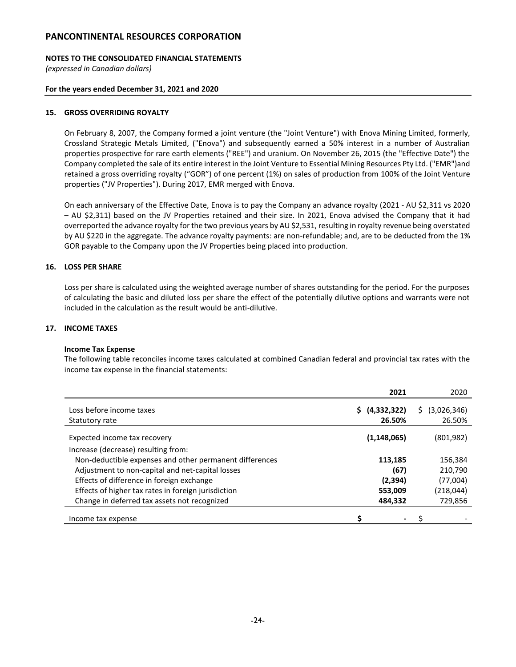# **NOTES TO THE CONSOLIDATED FINANCIAL STATEMENTS**

*(expressed in Canadian dollars)*

### **For the years ended December 31, 2021 and 2020**

### **15. GROSS OVERRIDING ROYALTY**

On February 8, 2007, the Company formed a joint venture (the "Joint Venture") with Enova Mining Limited, formerly, Crossland Strategic Metals Limited, ("Enova") and subsequently earned a 50% interest in a number of Australian properties prospective for rare earth elements ("REE") and uranium. On November 26, 2015 (the "Effective Date") the Company completed the sale of its entire interest in the Joint Venture to Essential Mining Resources Pty Ltd. ("EMR")and retained a gross overriding royalty ("GOR") of one percent (1%) on sales of production from 100% of the Joint Venture properties ("JV Properties"). During 2017, EMR merged with Enova.

On each anniversary of the Effective Date, Enova is to pay the Company an advance royalty (2021 - AU \$2,311 vs 2020 – AU \$2,311) based on the JV Properties retained and their size. In 2021, Enova advised the Company that it had overreported the advance royalty for the two previous years by AU \$2,531, resulting in royalty revenue being overstated by AU \$220 in the aggregate. The advance royalty payments: are non-refundable; and, are to be deducted from the 1% GOR payable to the Company upon the JV Properties being placed into production.

### **16. LOSS PER SHARE**

Loss per share is calculated using the weighted average number of shares outstanding for the period. For the purposes of calculating the basic and diluted loss per share the effect of the potentially dilutive options and warrants were not included in the calculation as the result would be anti-dilutive.

### **17. INCOME TAXES**

#### **Income Tax Expense**

The following table reconciles income taxes calculated at combined Canadian federal and provincial tax rates with the income tax expense in the financial statements:

|                                                         |   | 2021                  |   | 2020                  |
|---------------------------------------------------------|---|-----------------------|---|-----------------------|
| Loss before income taxes<br>Statutory rate              |   | (4,332,322)<br>26.50% | S | (3,026,346)<br>26.50% |
| Expected income tax recovery                            |   | (1, 148, 065)         |   | (801, 982)            |
| Increase (decrease) resulting from:                     |   |                       |   |                       |
| Non-deductible expenses and other permanent differences |   | 113,185               |   | 156,384               |
| Adjustment to non-capital and net-capital losses        |   | (67)                  |   | 210.790               |
| Effects of difference in foreign exchange               |   | (2,394)               |   | (77,004)              |
| Effects of higher tax rates in foreign jurisdiction     |   | 553,009               |   | (218,044)             |
| Change in deferred tax assets not recognized            |   | 484,332               |   | 729,856               |
| Income tax expense                                      | Ś | $\sim$                |   |                       |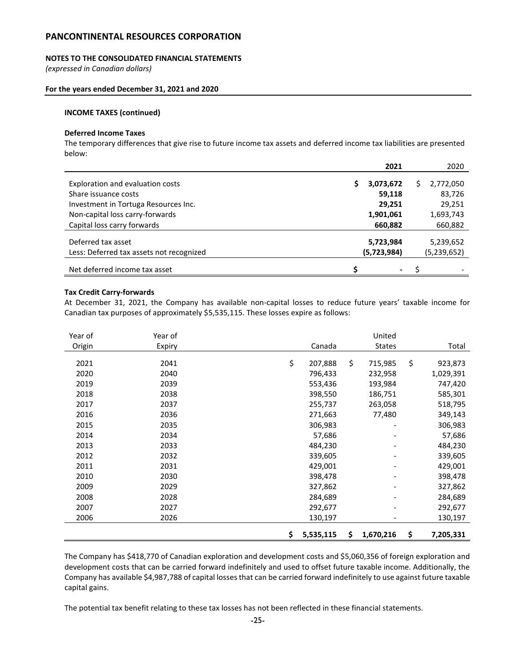# **NOTES TO THE CONSOLIDATED FINANCIAL STATEMENTS**

*(expressed in Canadian dollars)*

#### **For the years ended December 31, 2021 and 2020**

### **INCOME TAXES (continued)**

#### **Deferred Income Taxes**

The temporary differences that give rise to future income tax assets and deferred income tax liabilities are presented below:

|                                                                |   | 2021                 | 2020                 |
|----------------------------------------------------------------|---|----------------------|----------------------|
| Exploration and evaluation costs<br>Share issuance costs       | s | 3,073,672<br>59,118  | 2,772,050<br>83,726  |
| Investment in Tortuga Resources Inc.                           |   | 29,251               | 29,251               |
| Non-capital loss carry-forwards<br>Capital loss carry forwards |   | 1,901,061<br>660,882 | 1,693,743<br>660,882 |
| Deferred tax asset                                             |   | 5,723,984            | 5,239,652            |
| Less: Deferred tax assets not recognized                       |   | (5,723,984)          | (5,239,652)          |
| Net deferred income tax asset                                  | ¢ | ٠                    |                      |

### **Tax Credit Carry-forwards**

At December 31, 2021, the Company has available non-capital losses to reduce future years' taxable income for Canadian tax purposes of approximately \$5,535,115. These losses expire as follows:

| Year of | Year of |                 |               | United        |                 |
|---------|---------|-----------------|---------------|---------------|-----------------|
| Origin  | Expiry  |                 | Canada        | <b>States</b> | Total           |
|         |         |                 |               |               |                 |
| 2021    | 2041    | \$              | \$<br>207,888 | 715,985       | \$<br>923,873   |
| 2020    | 2040    |                 | 796,433       | 232,958       | 1,029,391       |
| 2019    | 2039    |                 | 553,436       | 193,984       | 747,420         |
| 2018    | 2038    |                 | 398,550       | 186,751       | 585,301         |
| 2017    | 2037    |                 | 255,737       | 263,058       | 518,795         |
| 2016    | 2036    |                 | 271,663       | 77,480        | 349,143         |
| 2015    | 2035    |                 | 306,983       |               | 306,983         |
| 2014    | 2034    |                 | 57,686        |               | 57,686          |
| 2013    | 2033    |                 | 484,230       |               | 484,230         |
| 2012    | 2032    |                 | 339,605       |               | 339,605         |
| 2011    | 2031    |                 | 429,001       |               | 429,001         |
| 2010    | 2030    |                 | 398,478       |               | 398,478         |
| 2009    | 2029    |                 | 327,862       |               | 327,862         |
| 2008    | 2028    |                 | 284,689       |               | 284,689         |
| 2007    | 2027    |                 | 292,677       |               | 292,677         |
| 2006    | 2026    |                 | 130,197       |               | 130,197         |
|         |         | \$<br>5,535,115 | \$            | 1,670,216     | \$<br>7,205,331 |

The Company has \$418,770 of Canadian exploration and development costs and \$5,060,356 of foreign exploration and development costs that can be carried forward indefinitely and used to offset future taxable income. Additionally, the Company has available \$4,987,788 of capital losses that can be carried forward indefinitely to use against future taxable capital gains.

The potential tax benefit relating to these tax losses has not been reflected in these financial statements.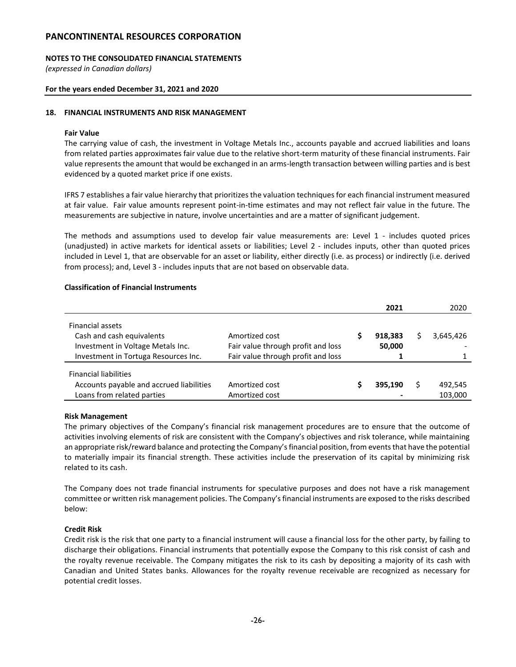### **NOTES TO THE CONSOLIDATED FINANCIAL STATEMENTS**

*(expressed in Canadian dollars)*

### **For the years ended December 31, 2021 and 2020**

### **18. FINANCIAL INSTRUMENTS AND RISK MANAGEMENT**

### **Fair Value**

The carrying value of cash, the investment in Voltage Metals Inc., accounts payable and accrued liabilities and loans from related parties approximates fair value due to the relative short-term maturity of these financial instruments. Fair value represents the amount that would be exchanged in an arms-length transaction between willing parties and is best evidenced by a quoted market price if one exists.

IFRS 7 establishes a fair value hierarchy that prioritizes the valuation techniques for each financial instrument measured at fair value. Fair value amounts represent point-in-time estimates and may not reflect fair value in the future. The measurements are subjective in nature, involve uncertainties and are a matter of significant judgement.

The methods and assumptions used to develop fair value measurements are: Level 1 - includes quoted prices (unadjusted) in active markets for identical assets or liabilities; Level 2 - includes inputs, other than quoted prices included in Level 1, that are observable for an asset or liability, either directly (i.e. as process) or indirectly (i.e. derived from process); and, Level 3 - includes inputs that are not based on observable data.

### **Classification of Financial Instruments**

|                                          |                                    | 2021    | 2020      |
|------------------------------------------|------------------------------------|---------|-----------|
| Financial assets                         |                                    |         |           |
| Cash and cash equivalents                | Amortized cost                     | 918,383 | 3,645,426 |
| Investment in Voltage Metals Inc.        | Fair value through profit and loss | 50,000  |           |
| Investment in Tortuga Resources Inc.     | Fair value through profit and loss |         |           |
| <b>Financial liabilities</b>             |                                    |         |           |
| Accounts payable and accrued liabilities | Amortized cost                     | 395.190 | 492,545   |
| Loans from related parties               | Amortized cost                     |         | 103,000   |

#### **Risk Management**

The primary objectives of the Company's financial risk management procedures are to ensure that the outcome of activities involving elements of risk are consistent with the Company's objectives and risk tolerance, while maintaining an appropriate risk/reward balance and protecting the Company's financial position, from events that have the potential to materially impair its financial strength. These activities include the preservation of its capital by minimizing risk related to its cash.

The Company does not trade financial instruments for speculative purposes and does not have a risk management committee or written risk management policies. The Company's financial instruments are exposed to the risks described below:

#### **Credit Risk**

Credit risk is the risk that one party to a financial instrument will cause a financial loss for the other party, by failing to discharge their obligations. Financial instruments that potentially expose the Company to this risk consist of cash and the royalty revenue receivable. The Company mitigates the risk to its cash by depositing a majority of its cash with Canadian and United States banks. Allowances for the royalty revenue receivable are recognized as necessary for potential credit losses.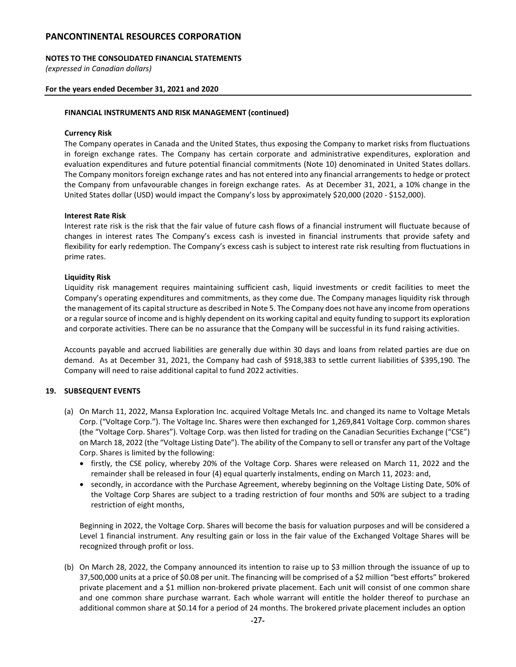### **NOTES TO THE CONSOLIDATED FINANCIAL STATEMENTS**

*(expressed in Canadian dollars)*

### **For the years ended December 31, 2021 and 2020**

### **FINANCIAL INSTRUMENTS AND RISK MANAGEMENT (continued)**

### **Currency Risk**

The Company operates in Canada and the United States, thus exposing the Company to market risks from fluctuations in foreign exchange rates. The Company has certain corporate and administrative expenditures, exploration and evaluation expenditures and future potential financial commitments (Note 10) denominated in United States dollars. The Company monitors foreign exchange rates and has not entered into any financial arrangements to hedge or protect the Company from unfavourable changes in foreign exchange rates. As at December 31, 2021, a 10% change in the United States dollar (USD) would impact the Company's loss by approximately \$20,000 (2020 - \$152,000).

### **Interest Rate Risk**

Interest rate risk is the risk that the fair value of future cash flows of a financial instrument will fluctuate because of changes in interest rates The Company's excess cash is invested in financial instruments that provide safety and flexibility for early redemption. The Company's excess cash is subject to interest rate risk resulting from fluctuations in prime rates.

### **Liquidity Risk**

Liquidity risk management requires maintaining sufficient cash, liquid investments or credit facilities to meet the Company's operating expenditures and commitments, as they come due. The Company manages liquidity risk through the management of its capital structure as described in Note 5. The Company does not have any income from operations or a regular source of income and is highly dependent on its working capital and equity funding to support its exploration and corporate activities. There can be no assurance that the Company will be successful in its fund raising activities.

Accounts payable and accrued liabilities are generally due within 30 days and loans from related parties are due on demand. As at December 31, 2021, the Company had cash of \$918,383 to settle current liabilities of \$395,190. The Company will need to raise additional capital to fund 2022 activities.

# **19. SUBSEQUENT EVENTS**

- (a) On March 11, 2022, Mansa Exploration Inc. acquired Voltage Metals Inc. and changed its name to Voltage Metals Corp. ("Voltage Corp."). The Voltage Inc. Shares were then exchanged for 1,269,841 Voltage Corp. common shares (the "Voltage Corp. Shares"). Voltage Corp. was then listed for trading on the Canadian Securities Exchange ("CSE") on March 18, 2022 (the "Voltage Listing Date"). The ability of the Company to sell or transfer any part of the Voltage Corp. Shares is limited by the following:
	- firstly, the CSE policy, whereby 20% of the Voltage Corp. Shares were released on March 11, 2022 and the remainder shall be released in four (4) equal quarterly instalments, ending on March 11, 2023: and,
	- secondly, in accordance with the Purchase Agreement, whereby beginning on the Voltage Listing Date, 50% of the Voltage Corp Shares are subject to a trading restriction of four months and 50% are subject to a trading restriction of eight months,

Beginning in 2022, the Voltage Corp. Shares will become the basis for valuation purposes and will be considered a Level 1 financial instrument. Any resulting gain or loss in the fair value of the Exchanged Voltage Shares will be recognized through profit or loss.

(b) On March 28, 2022, the Company announced its intention to raise up to \$3 million through the issuance of up to 37,500,000 units at a price of \$0.08 per unit. The financing will be comprised of a \$2 million "best efforts" brokered private placement and a \$1 million non-brokered private placement. Each unit will consist of one common share and one common share purchase warrant. Each whole warrant will entitle the holder thereof to purchase an additional common share at \$0.14 for a period of 24 months. The brokered private placement includes an option